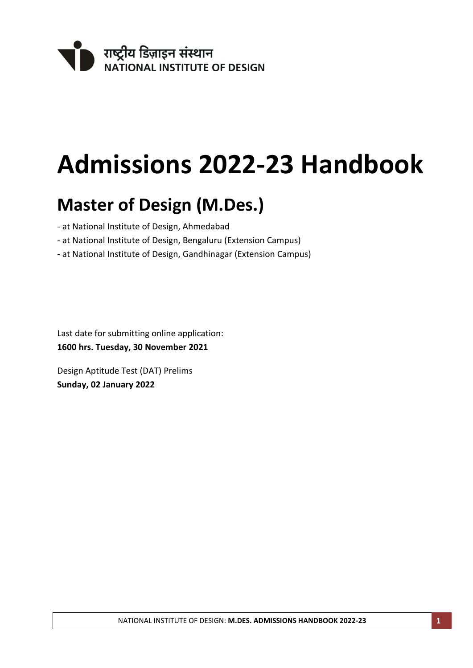

# **Admissions 2022-23 Handbook**

# **Master of Design (M.Des.)**

- at National Institute of Design, Ahmedabad
- at National Institute of Design, Bengaluru (Extension Campus)
- at National Institute of Design, Gandhinagar (Extension Campus)

Last date for submitting online application: **1600 hrs. Tuesday, 30 November 2021**

Design Aptitude Test (DAT) Prelims **Sunday, 02 January 2022**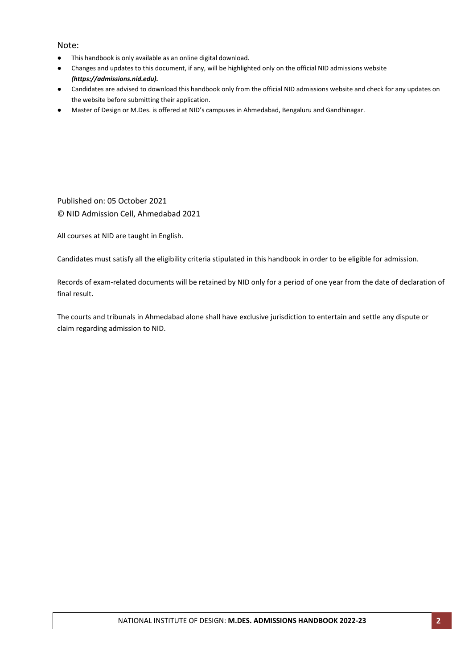#### Note:

- This handbook is only available as an online digital download.
- Changes and updates to this document, if any, will be highlighted only on the official NID admissions website *(https://admissions.nid.edu).*
- Candidates are advised to download this handbook only from the official NID admissions website and check for any updates on the website before submitting their application.
- Master of Design or M.Des. is offered at NID's campuses in Ahmedabad, Bengaluru and Gandhinagar.

Published on: 05 October 2021 © NID Admission Cell, Ahmedabad 2021

All courses at NID are taught in English.

Candidates must satisfy all the eligibility criteria stipulated in this handbook in order to be eligible for admission.

Records of exam-related documents will be retained by NID only for a period of one year from the date of declaration of final result.

The courts and tribunals in Ahmedabad alone shall have exclusive jurisdiction to entertain and settle any dispute or claim regarding admission to NID.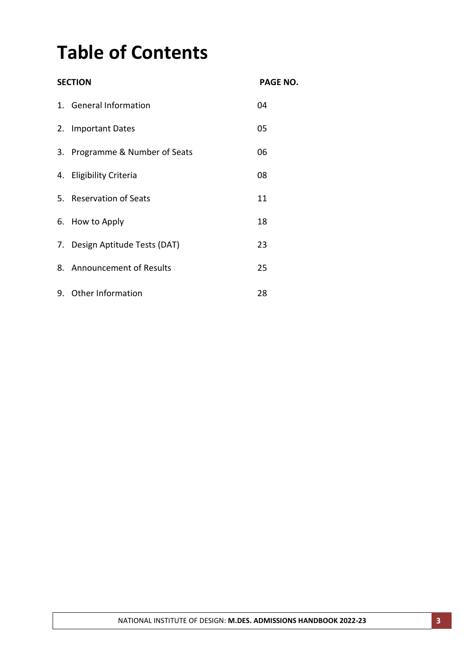# **Table of Contents**

| <b>SECTION</b> | <b>PAGE NO.</b>                |    |
|----------------|--------------------------------|----|
|                | 1. General Information         | 04 |
|                | 2. Important Dates             | 05 |
|                | 3. Programme & Number of Seats | 06 |
|                | 4. Eligibility Criteria        | 08 |
|                | 5. Reservation of Seats        | 11 |
|                | 6. How to Apply                | 18 |
|                | 7. Design Aptitude Tests (DAT) | 23 |
|                | 8. Announcement of Results     | 25 |
|                | 9. Other Information           | 28 |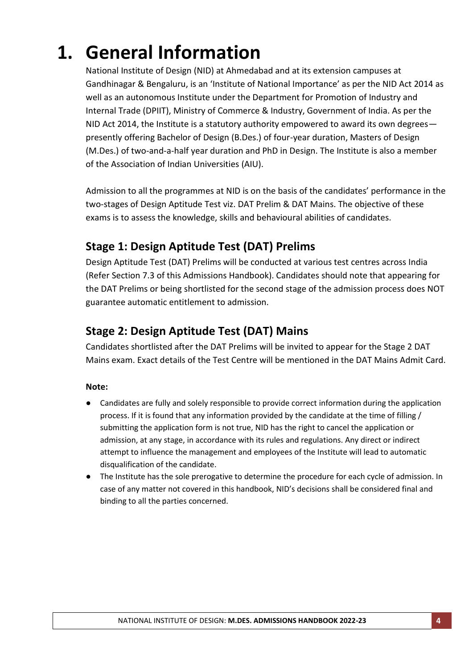# **1. General Information**

National Institute of Design (NID) at Ahmedabad and at its extension campuses at Gandhinagar & Bengaluru, is an 'Institute of National Importance' as per the NID Act 2014 as well as an autonomous Institute under the Department for Promotion of Industry and Internal Trade (DPIIT), Ministry of Commerce & Industry, Government of India. As per the NID Act 2014, the Institute is a statutory authority empowered to award its own degrees presently offering Bachelor of Design (B.Des.) of four-year duration, Masters of Design (M.Des.) of two-and-a-half year duration and PhD in Design. The Institute is also a member of the Association of Indian Universities (AIU).

Admission to all the programmes at NID is on the basis of the candidates' performance in the two-stages of Design Aptitude Test viz. DAT Prelim & DAT Mains. The objective of these exams is to assess the knowledge, skills and behavioural abilities of candidates.

# **Stage 1: Design Aptitude Test (DAT) Prelims**

Design Aptitude Test (DAT) Prelims will be conducted at various test centres across India (Refer Section 7.3 of this Admissions Handbook). Candidates should note that appearing for the DAT Prelims or being shortlisted for the second stage of the admission process does NOT guarantee automatic entitlement to admission.

# **Stage 2: Design Aptitude Test (DAT) Mains**

Candidates shortlisted after the DAT Prelims will be invited to appear for the Stage 2 DAT Mains exam. Exact details of the Test Centre will be mentioned in the DAT Mains Admit Card.

### **Note:**

- Candidates are fully and solely responsible to provide correct information during the application process. If it is found that any information provided by the candidate at the time of filling / submitting the application form is not true, NID has the right to cancel the application or admission, at any stage, in accordance with its rules and regulations. Any direct or indirect attempt to influence the management and employees of the Institute will lead to automatic disqualification of the candidate.
- The Institute has the sole prerogative to determine the procedure for each cycle of admission. In case of any matter not covered in this handbook, NID's decisions shall be considered final and binding to all the parties concerned.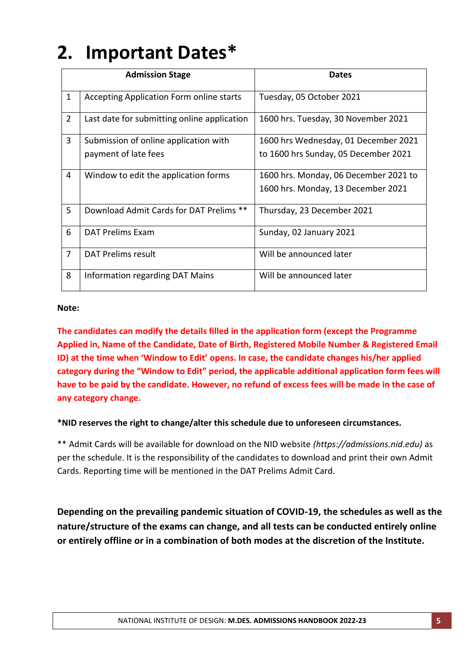# **2. Important Dates\***

|                | <b>Admission Stage</b>                      | <b>Dates</b>                          |
|----------------|---------------------------------------------|---------------------------------------|
|                |                                             |                                       |
| $\mathbf{1}$   | Accepting Application Form online starts    | Tuesday, 05 October 2021              |
| $\overline{2}$ | Last date for submitting online application | 1600 hrs. Tuesday, 30 November 2021   |
| $\overline{3}$ | Submission of online application with       | 1600 hrs Wednesday, 01 December 2021  |
|                | payment of late fees                        | to 1600 hrs Sunday, 05 December 2021  |
| 4              | Window to edit the application forms        | 1600 hrs. Monday, 06 December 2021 to |
|                |                                             | 1600 hrs. Monday, 13 December 2021    |
| 5              | Download Admit Cards for DAT Prelims **     | Thursday, 23 December 2021            |
| 6              | <b>DAT Prelims Exam</b>                     | Sunday, 02 January 2021               |
| $\overline{7}$ | DAT Prelims result                          | Will be announced later               |
| 8              | Information regarding DAT Mains             | Will be announced later               |

### **Note:**

**The candidates can modify the details filled in the application form (except the Programme Applied in, Name of the Candidate, Date of Birth, Registered Mobile Number & Registered Email ID) at the time when 'Window to Edit' opens. In case, the candidate changes his/her applied category during the "Window to Edit" period, the applicable additional application form fees will have to be paid by the candidate. However, no refund of excess fees will be made in the case of any category change.**

### **\*NID reserves the right to change/alter this schedule due to unforeseen circumstances.**

\*\* Admit Cards will be available for download on the NID website *(https://admissions.nid.edu)* as per the schedule. It is the responsibility of the candidates to download and print their own Admit Cards. Reporting time will be mentioned in the DAT Prelims Admit Card.

**Depending on the prevailing pandemic situation of COVID-19, the schedules as well as the nature/structure of the exams can change, and all tests can be conducted entirely online or entirely offline or in a combination of both modes at the discretion of the Institute.**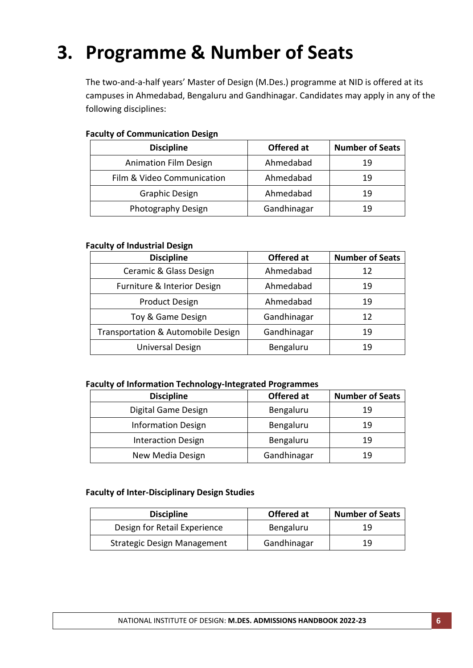# **3. Programme & Number of Seats**

The two-and-a-half years' Master of Design (M.Des.) programme at NID is offered at its campuses in Ahmedabad, Bengaluru and Gandhinagar. Candidates may apply in any of the following disciplines:

| <b>Discipline</b>            | Offered at  | <b>Number of Seats</b> |
|------------------------------|-------------|------------------------|
| <b>Animation Film Design</b> | Ahmedabad   | 19                     |
| Film & Video Communication   | Ahmedabad   | 19                     |
| <b>Graphic Design</b>        | Ahmedabad   | 19                     |
| Photography Design           | Gandhinagar | 19                     |

### **Faculty of Communication Design**

### **Faculty of Industrial Design**

| <b>Discipline</b>                  | Offered at  | <b>Number of Seats</b> |
|------------------------------------|-------------|------------------------|
| Ceramic & Glass Design             | Ahmedabad   | 12                     |
| Furniture & Interior Design        | Ahmedabad   | 19                     |
| <b>Product Design</b>              | Ahmedabad   | 19                     |
| Toy & Game Design                  | Gandhinagar | 12                     |
| Transportation & Automobile Design | Gandhinagar | 19                     |
| Universal Design                   | Bengaluru   | 19                     |

### **Faculty of Information Technology-Integrated Programmes**

| <b>Discipline</b>         | Offered at  | <b>Number of Seats</b> |
|---------------------------|-------------|------------------------|
| Digital Game Design       | Bengaluru   | 19                     |
| <b>Information Design</b> | Bengaluru   | 19                     |
| <b>Interaction Design</b> | Bengaluru   | 19                     |
| New Media Design          | Gandhinagar | 19                     |

### **Faculty of Inter-Disciplinary Design Studies**

| <b>Discipline</b>            | Offered at  | <b>Number of Seats</b> |
|------------------------------|-------------|------------------------|
| Design for Retail Experience | Bengaluru   | 19                     |
| Strategic Design Management  | Gandhinagar | 19                     |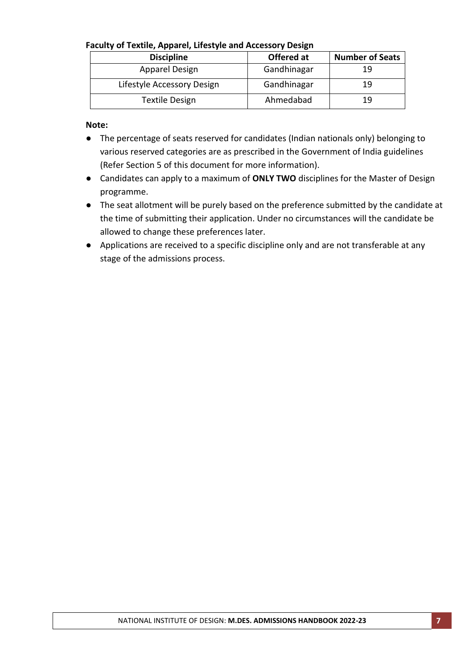### **Faculty of Textile, Apparel, Lifestyle and Accessory Design**

| <b>Discipline</b>          | Offered at  | <b>Number of Seats</b> |
|----------------------------|-------------|------------------------|
| Apparel Design             | Gandhinagar | 19                     |
| Lifestyle Accessory Design | Gandhinagar | 19                     |
| Textile Design             | Ahmedabad   | 19                     |

**Note:** 

- The percentage of seats reserved for candidates (Indian nationals only) belonging to various reserved categories are as prescribed in the Government of India guidelines (Refer Section 5 of this document for more information).
- Candidates can apply to a maximum of **ONLY TWO** disciplines for the Master of Design programme.
- The seat allotment will be purely based on the preference submitted by the candidate at the time of submitting their application. Under no circumstances will the candidate be allowed to change these preferences later.
- Applications are received to a specific discipline only and are not transferable at any stage of the admissions process.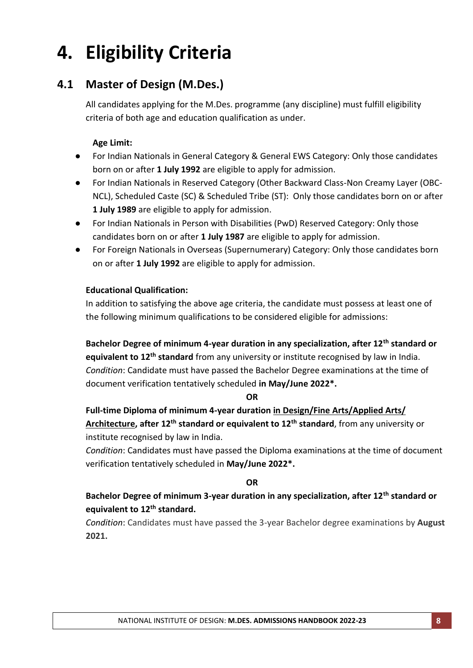# **4. Eligibility Criteria**

# **4.1 Master of Design (M.Des.)**

All candidates applying for the M.Des. programme (any discipline) must fulfill eligibility criteria of both age and education qualification as under.

### **Age Limit:**

- For Indian Nationals in General Category & General EWS Category: Only those candidates born on or after **1 July 1992** are eligible to apply for admission.
- For Indian Nationals in Reserved Category (Other Backward Class-Non Creamy Layer (OBC-NCL), Scheduled Caste (SC) & Scheduled Tribe (ST): Only those candidates born on or after **1 July 1989** are eligible to apply for admission.
- For Indian Nationals in Person with Disabilities (PwD) Reserved Category: Only those candidates born on or after **1 July 1987** are eligible to apply for admission.
- For Foreign Nationals in Overseas (Supernumerary) Category: Only those candidates born on or after **1 July 1992** are eligible to apply for admission.

### **Educational Qualification:**

In addition to satisfying the above age criteria, the candidate must possess at least one of the following minimum qualifications to be considered eligible for admissions:

**Bachelor Degree of minimum 4-year duration in any specialization, after 12th standard or equivalent to 12th standard** from any university or institute recognised by law in India. *Condition*: Candidate must have passed the Bachelor Degree examinations at the time of document verification tentatively scheduled **in May/June 2022\*.**

### **OR**

**Full-time Diploma of minimum 4-year duration in Design/Fine Arts/Applied Arts/ Architecture, after 12th standard or equivalent to 12th standard**, from any university or institute recognised by law in India.

*Condition*: Candidates must have passed the Diploma examinations at the time of document verification tentatively scheduled in **May/June 2022\*.**

### **OR**

## **Bachelor Degree of minimum 3-year duration in any specialization, after 12th standard or equivalent to 12th standard.**

*Condition*: Candidates must have passed the 3-year Bachelor degree examinations by **August 2021.**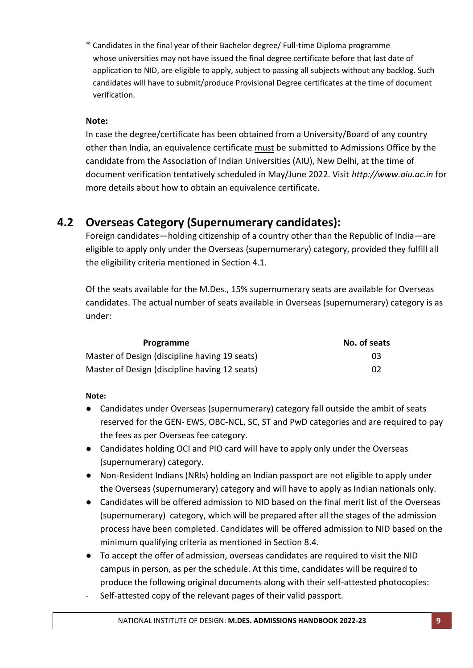\* Candidates in the final year of their Bachelor degree/ Full-time Diploma programme whose universities may not have issued the final degree certificate before that last date of application to NID, are eligible to apply, subject to passing all subjects without any backlog. Such candidates will have to submit/produce Provisional Degree certificates at the time of document verification.

### **Note:**

In case the degree/certificate has been obtained from a University/Board of any country other than India, an equivalence certificate must be submitted to Admissions Office by the candidate from the Association of Indian Universities (AIU), New Delhi, at the time of document verification tentatively scheduled in May/June 2022. Visit *http://www.aiu.ac.in* for more details about how to obtain an equivalence certificate.

## **4.2 Overseas Category (Supernumerary candidates):**

Foreign candidates—holding citizenship of a country other than the Republic of India—are eligible to apply only under the Overseas (supernumerary) category, provided they fulfill all the eligibility criteria mentioned in Section 4.1.

Of the seats available for the M.Des., 15% supernumerary seats are available for Overseas candidates. The actual number of seats available in Overseas (supernumerary) category is as under:

| Programme                                     | No. of seats |
|-----------------------------------------------|--------------|
| Master of Design (discipline having 19 seats) | 03           |
| Master of Design (discipline having 12 seats) | 02           |

### **Note:**

- Candidates under Overseas (supernumerary) category fall outside the ambit of seats reserved for the GEN- EWS, OBC-NCL, SC, ST and PwD categories and are required to pay the fees as per Overseas fee category.
- Candidates holding OCI and PIO card will have to apply only under the Overseas (supernumerary) category.
- Non-Resident Indians (NRIs) holding an Indian passport are not eligible to apply under the Overseas (supernumerary) category and will have to apply as Indian nationals only.
- Candidates will be offered admission to NID based on the final merit list of the Overseas (supernumerary) category, which will be prepared after all the stages of the admission process have been completed. Candidates will be offered admission to NID based on the minimum qualifying criteria as mentioned in Section 8.4.
- To accept the offer of admission, overseas candidates are required to visit the NID campus in person, as per the schedule. At this time, candidates will be required to produce the following original documents along with their self-attested photocopies:
- Self-attested copy of the relevant pages of their valid passport.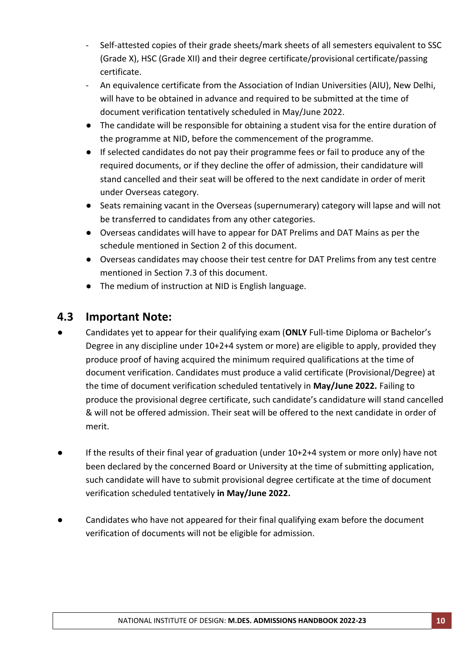- Self-attested copies of their grade sheets/mark sheets of all semesters equivalent to SSC (Grade X), HSC (Grade XII) and their degree certificate/provisional certificate/passing certificate.
- An equivalence certificate from the Association of Indian Universities (AIU), New Delhi, will have to be obtained in advance and required to be submitted at the time of document verification tentatively scheduled in May/June 2022.
- The candidate will be responsible for obtaining a student visa for the entire duration of the programme at NID, before the commencement of the programme.
- If selected candidates do not pay their programme fees or fail to produce any of the required documents, or if they decline the offer of admission, their candidature will stand cancelled and their seat will be offered to the next candidate in order of merit under Overseas category.
- Seats remaining vacant in the Overseas (supernumerary) category will lapse and will not be transferred to candidates from any other categories.
- Overseas candidates will have to appear for DAT Prelims and DAT Mains as per the schedule mentioned in Section 2 of this document.
- Overseas candidates may choose their test centre for DAT Prelims from any test centre mentioned in Section 7.3 of this document.
- The medium of instruction at NID is English language.

# **4.3 Important Note:**

- Candidates yet to appear for their qualifying exam (**ONLY** Full-time Diploma or Bachelor's Degree in any discipline under 10+2+4 system or more) are eligible to apply, provided they produce proof of having acquired the minimum required qualifications at the time of document verification. Candidates must produce a valid certificate (Provisional/Degree) at the time of document verification scheduled tentatively in **May/June 2022.** Failing to produce the provisional degree certificate, such candidate's candidature will stand cancelled & will not be offered admission. Their seat will be offered to the next candidate in order of merit.
- If the results of their final year of graduation (under 10+2+4 system or more only) have not been declared by the concerned Board or University at the time of submitting application, such candidate will have to submit provisional degree certificate at the time of document verification scheduled tentatively **in May/June 2022.**
- Candidates who have not appeared for their final qualifying exam before the document verification of documents will not be eligible for admission.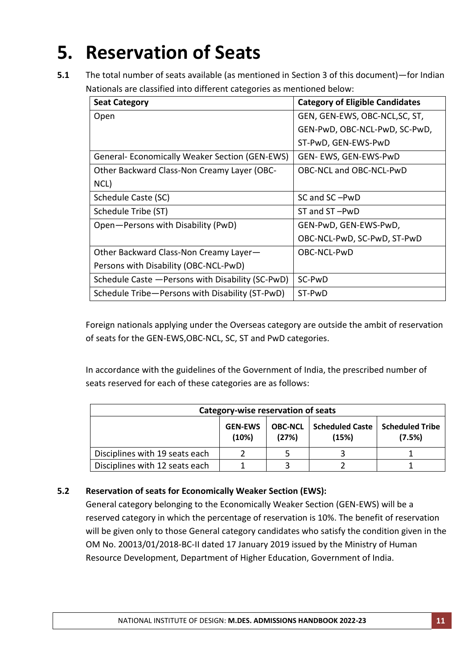# **5. Reservation of Seats**

**5.1** The total number of seats available (as mentioned in Section 3 of this document)—for Indian Nationals are classified into different categories as mentioned below:

| <b>Seat Category</b>                                 | <b>Category of Eligible Candidates</b> |
|------------------------------------------------------|----------------------------------------|
| Open                                                 | GEN, GEN-EWS, OBC-NCL, SC, ST,         |
|                                                      | GEN-PwD, OBC-NCL-PwD, SC-PwD,          |
|                                                      | ST-PwD, GEN-EWS-PwD                    |
| <b>General-Economically Weaker Section (GEN-EWS)</b> | GEN- EWS, GEN-EWS-PwD                  |
| Other Backward Class-Non Creamy Layer (OBC-          | OBC-NCL and OBC-NCL-PwD                |
| NCL)                                                 |                                        |
| Schedule Caste (SC)                                  | SC and SC-PwD                          |
| Schedule Tribe (ST)                                  | ST and ST-PwD                          |
| Open-Persons with Disability (PwD)                   | GEN-PwD, GEN-EWS-PwD,                  |
|                                                      | OBC-NCL-PwD, SC-PwD, ST-PwD            |
| Other Backward Class-Non Creamy Layer-               | OBC-NCL-PwD                            |
| Persons with Disability (OBC-NCL-PwD)                |                                        |
| Schedule Caste - Persons with Disability (SC-PwD)    | SC-PwD                                 |
| Schedule Tribe-Persons with Disability (ST-PwD)      | ST-PwD                                 |

Foreign nationals applying under the Overseas category are outside the ambit of reservation of seats for the GEN-EWS,OBC-NCL, SC, ST and PwD categories.

In accordance with the guidelines of the Government of India, the prescribed number of seats reserved for each of these categories are as follows:

| Category-wise reservation of seats                                                                                        |  |  |  |  |  |  |
|---------------------------------------------------------------------------------------------------------------------------|--|--|--|--|--|--|
| <b>Scheduled Caste</b><br><b>Scheduled Tribe</b><br><b>GEN-EWS</b><br><b>OBC-NCL</b><br>(7.5%)<br>(10%)<br>(27%)<br>(15%) |  |  |  |  |  |  |
| Disciplines with 19 seats each                                                                                            |  |  |  |  |  |  |
| Disciplines with 12 seats each                                                                                            |  |  |  |  |  |  |

### **5.2 Reservation of seats for Economically Weaker Section (EWS):**

General category belonging to the Economically Weaker Section (GEN-EWS) will be a reserved category in which the percentage of reservation is 10%. The benefit of reservation will be given only to those General category candidates who satisfy the condition given in the OM No. 20013/01/2018-BC-II dated 17 January 2019 issued by the Ministry of Human Resource Development, Department of Higher Education, Government of India.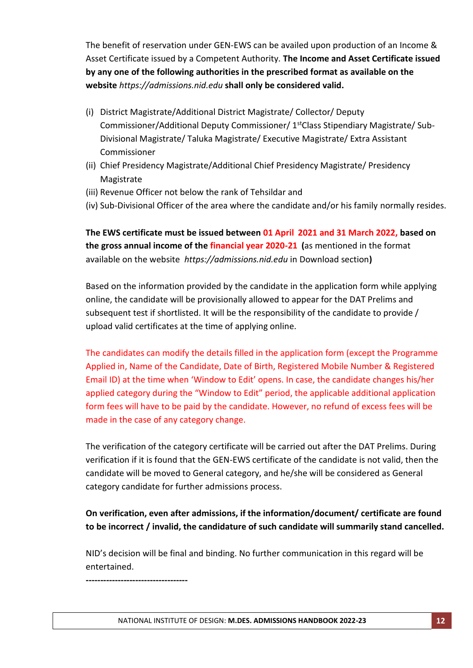The benefit of reservation under GEN-EWS can be availed upon production of an Income & Asset Certificate issued by a Competent Authority. **The Income and Asset Certificate issued by any one of the following authorities in the prescribed format as available on the website** *https://admissions.nid.edu* **shall only be considered valid.**

- (i) District Magistrate/Additional District Magistrate/ Collector/ Deputy Commissioner/Additional Deputy Commissioner/ 1stClass Stipendiary Magistrate/ Sub-Divisional Magistrate/ Taluka Magistrate/ Executive Magistrate/ Extra Assistant Commissioner
- (ii) Chief Presidency Magistrate/Additional Chief Presidency Magistrate/ Presidency Magistrate
- (iii) Revenue Officer not below the rank of Tehsildar and
- (iv) Sub-Divisional Officer of the area where the candidate and/or his family normally resides.

**The EWS certificate must be issued between 01 April 2021 and 31 March 2022, based on the gross annual income of the financial year 2020-21 (**as mentioned in the format available on the website *[https://admissions.nid.edu](https://admissions.nid.edu/)* in Download section**)**

Based on the information provided by the candidate in the application form while applying online, the candidate will be provisionally allowed to appear for the DAT Prelims and subsequent test if shortlisted. It will be the responsibility of the candidate to provide / upload valid certificates at the time of applying online.

The candidates can modify the details filled in the application form (except the Programme Applied in, Name of the Candidate, Date of Birth, Registered Mobile Number & Registered Email ID) at the time when 'Window to Edit' opens. In case, the candidate changes his/her applied category during the "Window to Edit" period, the applicable additional application form fees will have to be paid by the candidate. However, no refund of excess fees will be made in the case of any category change.

The verification of the category certificate will be carried out after the DAT Prelims. During verification if it is found that the GEN-EWS certificate of the candidate is not valid, then the candidate will be moved to General category, and he/she will be considered as General category candidate for further admissions process.

### **On verification, even after admissions, if the information/document/ certificate are found to be incorrect / invalid, the candidature of such candidate will summarily stand cancelled.**

NID's decision will be final and binding. No further communication in this regard will be entertained.

**-----------------------------------**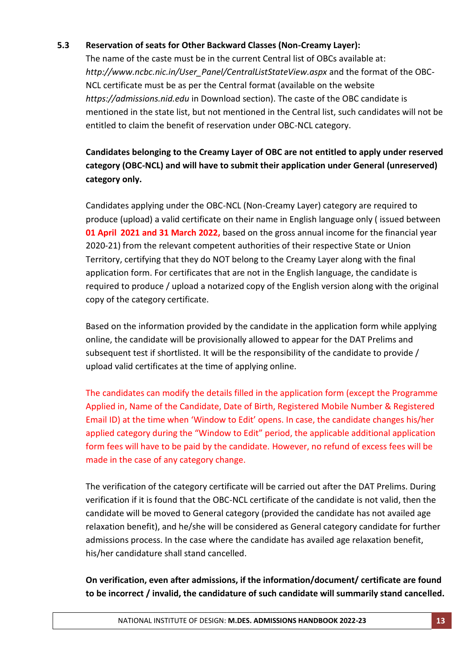### **5.3 Reservation of seats for Other Backward Classes (Non-Creamy Layer):**

The name of the caste must be in the current Central list of OBCs available at: *http://www.ncbc.nic.in/User\_Panel/CentralListStateView.aspx* and the format of the OBC-NCL certificate must be as per the Central format (available on the website *[https://admissions.nid.edu](https://admissions.nid.edu/)* in Download section). The caste of the OBC candidate is mentioned in the state list, but not mentioned in the Central list, such candidates will not be entitled to claim the benefit of reservation under OBC-NCL category.

## **Candidates belonging to the Creamy Layer of OBC are not entitled to apply under reserved category (OBC-NCL) and will have to submit their application under General (unreserved) category only.**

Candidates applying under the OBC-NCL (Non-Creamy Layer) category are required to produce (upload) a valid certificate on their name in English language only ( issued between **01 April 2021 and 31 March 2022,** based on the gross annual income for the financial year 2020-21) from the relevant competent authorities of their respective State or Union Territory, certifying that they do NOT belong to the Creamy Layer along with the final application form. For certificates that are not in the English language, the candidate is required to produce / upload a notarized copy of the English version along with the original copy of the category certificate.

Based on the information provided by the candidate in the application form while applying online, the candidate will be provisionally allowed to appear for the DAT Prelims and subsequent test if shortlisted. It will be the responsibility of the candidate to provide / upload valid certificates at the time of applying online.

The candidates can modify the details filled in the application form (except the Programme Applied in, Name of the Candidate, Date of Birth, Registered Mobile Number & Registered Email ID) at the time when 'Window to Edit' opens. In case, the candidate changes his/her applied category during the "Window to Edit" period, the applicable additional application form fees will have to be paid by the candidate. However, no refund of excess fees will be made in the case of any category change.

The verification of the category certificate will be carried out after the DAT Prelims. During verification if it is found that the OBC-NCL certificate of the candidate is not valid, then the candidate will be moved to General category (provided the candidate has not availed age relaxation benefit), and he/she will be considered as General category candidate for further admissions process. In the case where the candidate has availed age relaxation benefit, his/her candidature shall stand cancelled.

**On verification, even after admissions, if the information/document/ certificate are found to be incorrect / invalid, the candidature of such candidate will summarily stand cancelled.**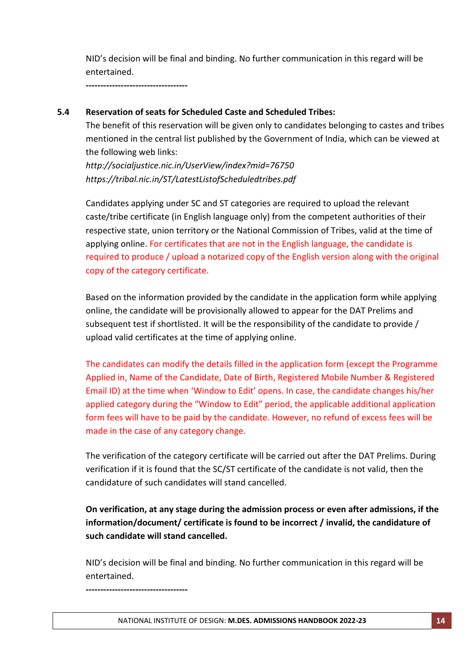NID's decision will be final and binding. No further communication in this regard will be entertained.

**-----------------------------------**

### **5.4 Reservation of seats for Scheduled Caste and Scheduled Tribes:**

The benefit of this reservation will be given only to candidates belonging to castes and tribes mentioned in the central list published by the Government of India, which can be viewed at the following web links:

*http://socialjustice.nic.in/UserView/index?mid=76750 <https://tribal.nic.in/ST/LatestListofScheduledtribes.pdf>*

Candidates applying under SC and ST categories are required to upload the relevant caste/tribe certificate (in English language only) from the competent authorities of their respective state, union territory or the National Commission of Tribes, valid at the time of applying online. For certificates that are not in the English language, the candidate is required to produce / upload a notarized copy of the English version along with the original copy of the category certificate.

Based on the information provided by the candidate in the application form while applying online, the candidate will be provisionally allowed to appear for the DAT Prelims and subsequent test if shortlisted. It will be the responsibility of the candidate to provide / upload valid certificates at the time of applying online.

The candidates can modify the details filled in the application form (except the Programme Applied in, Name of the Candidate, Date of Birth, Registered Mobile Number & Registered Email ID) at the time when 'Window to Edit' opens. In case, the candidate changes his/her applied category during the "Window to Edit" period, the applicable additional application form fees will have to be paid by the candidate. However, no refund of excess fees will be made in the case of any category change.

The verification of the category certificate will be carried out after the DAT Prelims. During verification if it is found that the SC/ST certificate of the candidate is not valid, then the candidature of such candidates will stand cancelled.

**On verification, at any stage during the admission process or even after admissions, if the information/document/ certificate is found to be incorrect / invalid, the candidature of such candidate will stand cancelled.** 

NID's decision will be final and binding. No further communication in this regard will be entertained.

**-----------------------------------**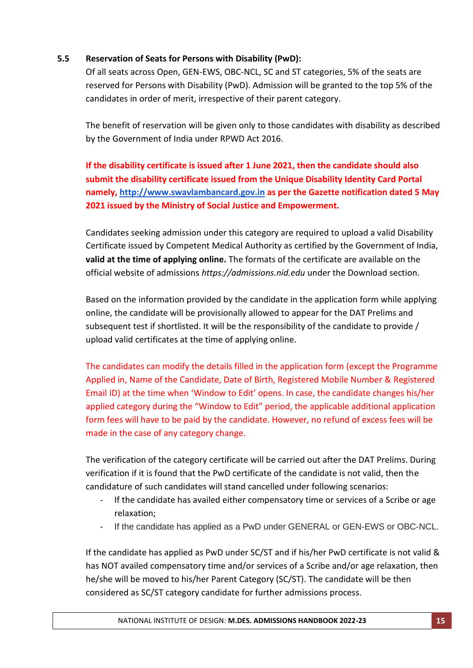### **5.5 Reservation of Seats for Persons with Disability (PwD):**

Of all seats across Open, GEN-EWS, OBC-NCL, SC and ST categories, 5% of the seats are reserved for Persons with Disability (PwD). Admission will be granted to the top 5% of the candidates in order of merit, irrespective of their parent category.

The benefit of reservation will be given only to those candidates with disability as described by the Government of India under RPWD Act 2016.

**If the disability certificate is issued after 1 June 2021, then the candidate should also submit the disability certificate issued from the Unique Disability Identity Card Portal namely, [http://www.swavlambancard.gov.in](http://www.swavlambancard.gov.in/) as per the Gazette notification dated 5 May 2021 issued by the Ministry of Social Justice and Empowerment.**

Candidates seeking admission under this category are required to upload a valid Disability Certificate issued by Competent Medical Authority as certified by the Government of India, **valid at the time of applying online.** The formats of the certificate are available on the official website of admissions *[https://admissions.nid.edu](https://admissions.nid.edu/)* under the Download section.

Based on the information provided by the candidate in the application form while applying online, the candidate will be provisionally allowed to appear for the DAT Prelims and subsequent test if shortlisted. It will be the responsibility of the candidate to provide / upload valid certificates at the time of applying online.

The candidates can modify the details filled in the application form (except the Programme Applied in, Name of the Candidate, Date of Birth, Registered Mobile Number & Registered Email ID) at the time when 'Window to Edit' opens. In case, the candidate changes his/her applied category during the "Window to Edit" period, the applicable additional application form fees will have to be paid by the candidate. However, no refund of excess fees will be made in the case of any category change.

The verification of the category certificate will be carried out after the DAT Prelims. During verification if it is found that the PwD certificate of the candidate is not valid, then the candidature of such candidates will stand cancelled under following scenarios:

- If the candidate has availed either compensatory time or services of a Scribe or age relaxation;
- If the candidate has applied as a PwD under GENERAL or GEN-EWS or OBC-NCL.

If the candidate has applied as PwD under SC/ST and if his/her PwD certificate is not valid & has NOT availed compensatory time and/or services of a Scribe and/or age relaxation, then he/she will be moved to his/her Parent Category (SC/ST). The candidate will be then considered as SC/ST category candidate for further admissions process.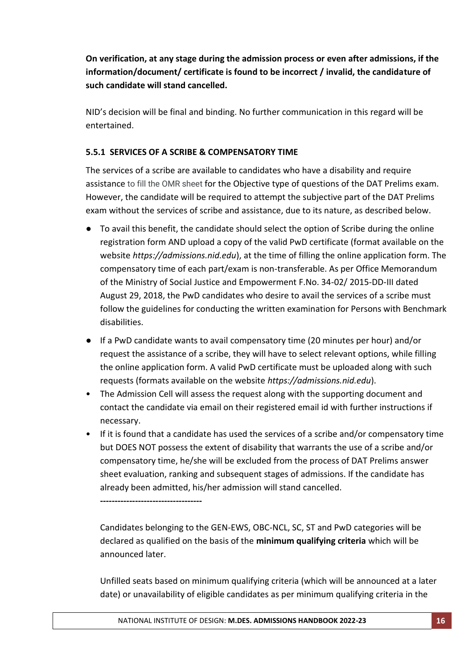**On verification, at any stage during the admission process or even after admissions, if the information/document/ certificate is found to be incorrect / invalid, the candidature of such candidate will stand cancelled.** 

NID's decision will be final and binding. No further communication in this regard will be entertained.

### **5.5.1 SERVICES OF A SCRIBE & COMPENSATORY TIME**

The services of a scribe are available to candidates who have a disability and require assistance to fill the OMR sheet for the Objective type of questions of the DAT Prelims exam. However, the candidate will be required to attempt the subjective part of the DAT Prelims exam without the services of scribe and assistance, due to its nature, as described below.

- To avail this benefit, the candidate should select the option of Scribe during the online registration form AND upload a copy of the valid PwD certificate (format available on the website *[https://admissions.nid.edu](https://admissions.nid.edu/)*), at the time of filling the online application form. The compensatory time of each part/exam is non-transferable. As per Office Memorandum of the Ministry of Social Justice and Empowerment F.No. 34-02/ 2015-DD-III dated August 29, 2018, the PwD candidates who desire to avail the services of a scribe must follow the guidelines for conducting the written examination for Persons with Benchmark disabilities.
- If a PwD candidate wants to avail compensatory time (20 minutes per hour) and/or request the assistance of a scribe, they will have to select relevant options, while filling the online application form. A valid PwD certificate must be uploaded along with such requests (formats available on the website *[https://admissions.nid.edu](https://admissions.nid.edu/)*).
- The Admission Cell will assess the request along with the supporting document and contact the candidate via email on their registered email id with further instructions if necessary.
- If it is found that a candidate has used the services of a scribe and/or compensatory time but DOES NOT possess the extent of disability that warrants the use of a scribe and/or compensatory time, he/she will be excluded from the process of DAT Prelims answer sheet evaluation, ranking and subsequent stages of admissions. If the candidate has already been admitted, his/her admission will stand cancelled.

**-----------------------------------**

Candidates belonging to the GEN-EWS, OBC-NCL, SC, ST and PwD categories will be declared as qualified on the basis of the **minimum qualifying criteria** which will be announced later.

Unfilled seats based on minimum qualifying criteria (which will be announced at a later date) or unavailability of eligible candidates as per minimum qualifying criteria in the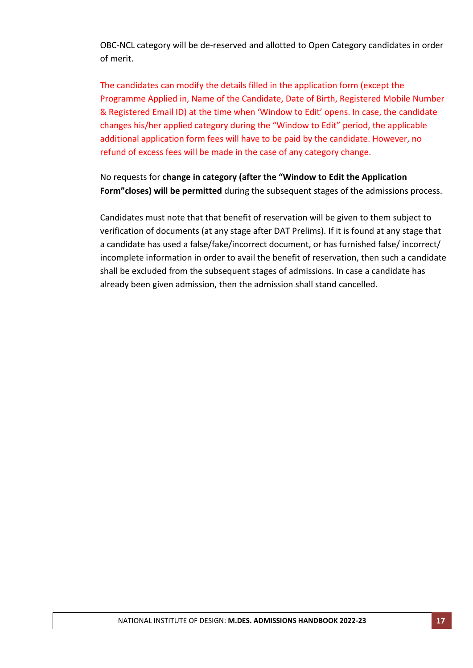OBC-NCL category will be de-reserved and allotted to Open Category candidates in order of merit.

The candidates can modify the details filled in the application form (except the Programme Applied in, Name of the Candidate, Date of Birth, Registered Mobile Number & Registered Email ID) at the time when 'Window to Edit' opens. In case, the candidate changes his/her applied category during the "Window to Edit" period, the applicable additional application form fees will have to be paid by the candidate. However, no refund of excess fees will be made in the case of any category change.

No requests for **change in category (after the "Window to Edit the Application Form"closes) will be permitted** during the subsequent stages of the admissions process.

Candidates must note that that benefit of reservation will be given to them subject to verification of documents (at any stage after DAT Prelims). If it is found at any stage that a candidate has used a false/fake/incorrect document, or has furnished false/ incorrect/ incomplete information in order to avail the benefit of reservation, then such a candidate shall be excluded from the subsequent stages of admissions. In case a candidate has already been given admission, then the admission shall stand cancelled.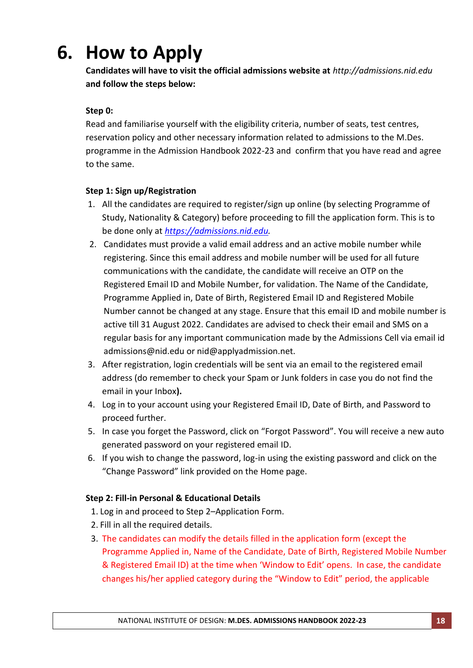# **6. How to Apply**

**Candidates will have to visit the official admissions website at** *http://admissions.nid.edu* **and follow the steps below:**

### **Step 0:**

Read and familiarise yourself with the eligibility criteria, number of seats, test centres, reservation policy and other necessary information related to admissions to the M.Des. programme in the Admission Handbook 2022-23 and confirm that you have read and agree to the same.

### **Step 1: Sign up/Registration**

- 1. All the candidates are required to register/sign up online (by selecting Programme of Study, Nationality & Category) before proceeding to fill the application form. This is to be done only at *[https://admissions.nid.edu.](https://admissions.nid.edu/)*
- 2. Candidates must provide a valid email address and an active mobile number while registering. Since this email address and mobile number will be used for all future communications with the candidate, the candidate will receive an OTP on the Registered Email ID and Mobile Number, for validation. The Name of the Candidate, Programme Applied in, Date of Birth, Registered Email ID and Registered Mobile Number cannot be changed at any stage. Ensure that this email ID and mobile number is active till 31 August 2022. Candidates are advised to check their email and SMS on a regular basis for any important communication made by the Admissions Cell via email id admissions@nid.edu or nid@applyadmission.net.
- 3. After registration, login credentials will be sent via an email to the registered email address (do remember to check your Spam or Junk folders in case you do not find the email in your Inbox**).**
- 4. Log in to your account using your Registered Email ID, Date of Birth, and Password to proceed further.
- 5. In case you forget the Password, click on "Forgot Password". You will receive a new auto generated password on your registered email ID.
- 6. If you wish to change the password, log-in using the existing password and click on the "Change Password" link provided on the Home page.

### **Step 2: Fill-in Personal & Educational Details**

- 1. Log in and proceed to Step 2–Application Form.
- 2. Fill in all the required details.
- 3. The candidates can modify the details filled in the application form (except the Programme Applied in, Name of the Candidate, Date of Birth, Registered Mobile Number & Registered Email ID) at the time when 'Window to Edit' opens. In case, the candidate changes his/her applied category during the "Window to Edit" period, the applicable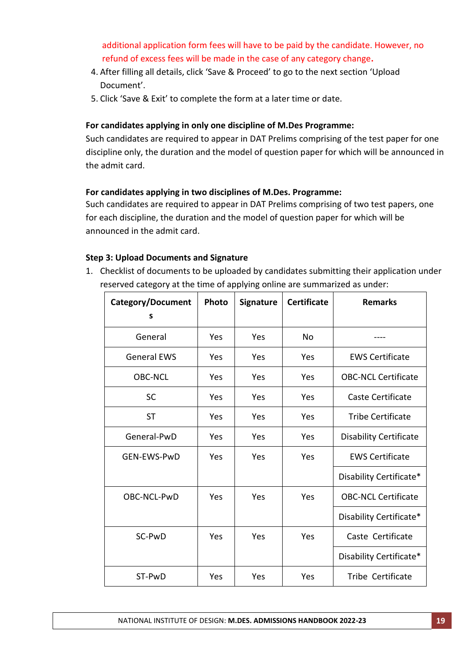additional application form fees will have to be paid by the candidate. However, no refund of excess fees will be made in the case of any category change**.**

- 4. After filling all details, click 'Save & Proceed' to go to the next section 'Upload Document'.
- 5. Click 'Save & Exit' to complete the form at a later time or date.

### **For candidates applying in only one discipline of M.Des Programme:**

Such candidates are required to appear in DAT Prelims comprising of the test paper for one discipline only, the duration and the model of question paper for which will be announced in the admit card.

### **For candidates applying in two disciplines of M.Des. Programme:**

Such candidates are required to appear in DAT Prelims comprising of two test papers, one for each discipline, the duration and the model of question paper for which will be announced in the admit card.

### **Step 3: Upload Documents and Signature**

1. Checklist of documents to be uploaded by candidates submitting their application under reserved category at the time of applying online are summarized as under:

| <b>Category/Document</b><br>s | Photo | <b>Signature</b> | <b>Certificate</b> | <b>Remarks</b>                |
|-------------------------------|-------|------------------|--------------------|-------------------------------|
|                               |       |                  |                    |                               |
| General                       | Yes   | Yes              | No                 |                               |
| <b>General EWS</b>            | Yes   | Yes              | Yes                | <b>EWS Certificate</b>        |
| <b>OBC-NCL</b>                | Yes   | Yes              | Yes                | <b>OBC-NCL Certificate</b>    |
| <b>SC</b>                     | Yes   | Yes              | Yes                | Caste Certificate             |
| <b>ST</b>                     | Yes   | Yes              | Yes                | <b>Tribe Certificate</b>      |
| General-PwD                   | Yes   | Yes              | Yes                | <b>Disability Certificate</b> |
| <b>GEN-EWS-PwD</b>            | Yes   | Yes              | Yes                | <b>EWS Certificate</b>        |
|                               |       |                  |                    | Disability Certificate*       |
| OBC-NCL-PwD                   | Yes   | Yes              | Yes                | <b>OBC-NCL Certificate</b>    |
|                               |       |                  |                    | Disability Certificate*       |
| SC-PwD                        | Yes   | Yes              | Yes                | Caste Certificate             |
|                               |       |                  |                    | Disability Certificate*       |
| ST-PwD                        | Yes   | Yes              | Yes                | Tribe Certificate             |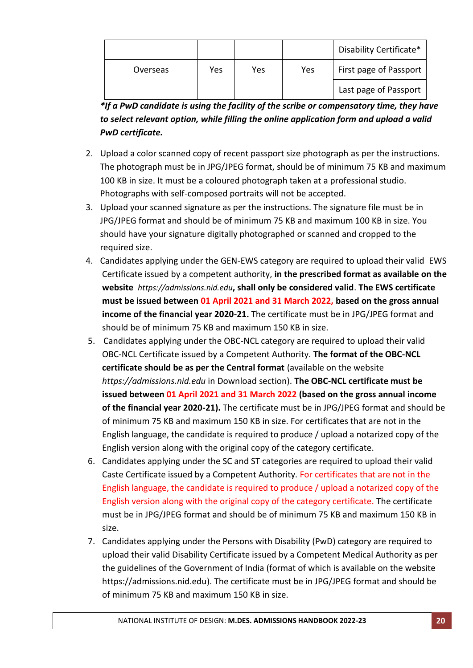|          |     |     |     | Disability Certificate* |
|----------|-----|-----|-----|-------------------------|
| Overseas | Yes | Yes | Yes | First page of Passport  |
|          |     |     |     | Last page of Passport   |

*\*If a PwD candidate is using the facility of the scribe or compensatory time, they have to select relevant option, while filling the online application form and upload a valid PwD certificate.*

- 2. Upload a color scanned copy of recent passport size photograph as per the instructions. The photograph must be in JPG/JPEG format, should be of minimum 75 KB and maximum 100 KB in size. It must be a coloured photograph taken at a professional studio. Photographs with self-composed portraits will not be accepted.
- 3. Upload your scanned signature as per the instructions. The signature file must be in JPG/JPEG format and should be of minimum 75 KB and maximum 100 KB in size. You should have your signature digitally photographed or scanned and cropped to the required size.
- 4. Candidates applying under the GEN-EWS category are required to upload their valid EWS Certificate issued by a competent authority, **in the prescribed format as available on the website** *[https://admissions.nid.edu](https://admissions.nid.edu/)***, shall only be considered valid**. **The EWS certificate must be issued between 01 April 2021 and 31 March 2022, based on the gross annual income of the financial year 2020-21.** The certificate must be in JPG/JPEG format and should be of minimum 75 KB and maximum 150 KB in size.
- 5. Candidates applying under the OBC-NCL category are required to upload their valid OBC-NCL Certificate issued by a Competent Authority. **The format of the OBC-NCL certificate should be as per the Central format** (available on the websit[e](https://admissions.nid.edu/) *[https://admissions.nid.edu](https://admissions.nid.edu/)* in Download section). **The OBC-NCL certificate must be issued between 01 April 2021 and 31 March 2022 (based on the gross annual income of the financial year 2020-21).** The certificate must be in JPG/JPEG format and should be of minimum 75 KB and maximum 150 KB in size. For certificates that are not in the English language, the candidate is required to produce / upload a notarized copy of the English version along with the original copy of the category certificate.
- 6. Candidates applying under the SC and ST categories are required to upload their valid Caste Certificate issued by a Competent Authority. For certificates that are not in the English language, the candidate is required to produce / upload a notarized copy of the English version along with the original copy of the category certificate. The certificate must be in JPG/JPEG format and should be of minimum 75 KB and maximum 150 KB in size.
- 7. Candidates applying under the Persons with Disability (PwD) category are required to upload their valid Disability Certificate issued by a Competent Medical Authority as per the guidelines of the Government of India (format of which is available on the website https://admissions.nid.edu). The certificate must be in JPG/JPEG format and should be of minimum 75 KB and maximum 150 KB in size.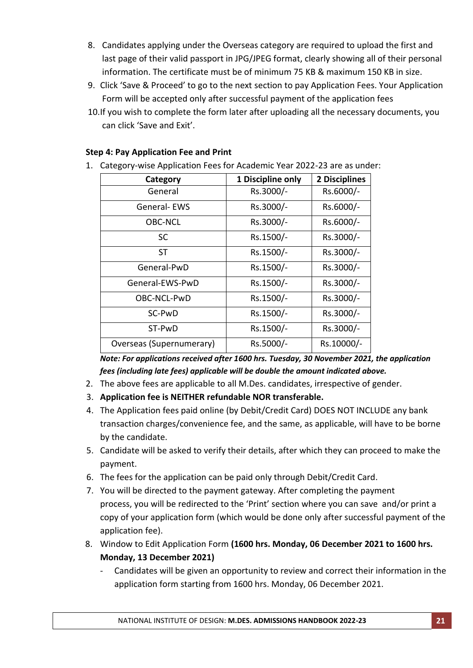- 8. Candidates applying under the Overseas category are required to upload the first and last page of their valid passport in JPG/JPEG format, clearly showing all of their personal information. The certificate must be of minimum 75 KB & maximum 150 KB in size.
- 9. Click 'Save & Proceed' to go to the next section to pay Application Fees. Your Application Form will be accepted only after successful payment of the application fees
- 10.If you wish to complete the form later after uploading all the necessary documents, you can click 'Save and Exit'.

### **Step 4: Pay Application Fee and Print**

1. Category-wise Application Fees for Academic Year 2022-23 are as under:

| Category                 | 1 Discipline only | 2 Disciplines |
|--------------------------|-------------------|---------------|
| General                  | Rs.3000/-         | Rs.6000/-     |
| General-EWS              | Rs.3000/-         | Rs.6000/-     |
| <b>OBC-NCL</b>           | Rs.3000/-         | Rs.6000/-     |
| <b>SC</b>                | Rs.1500/-         | Rs.3000/-     |
| <b>ST</b>                | Rs.1500/-         | Rs.3000/-     |
| General-PwD              | Rs.1500/-         | Rs.3000/-     |
| General-EWS-PwD          | Rs.1500/-         | Rs.3000/-     |
| OBC-NCL-PwD              | Rs.1500/-         | Rs.3000/-     |
| SC-PwD                   | Rs.1500/-         | Rs.3000/-     |
| ST-PwD                   | Rs.1500/-         | Rs.3000/-     |
| Overseas (Supernumerary) | Rs.5000/-         | Rs.10000/-    |

*Note: For applications received after 1600 hrs. Tuesday, 30 November 2021, the application fees (including late fees) applicable will be double the amount indicated above.*

- 2. The above fees are applicable to all M.Des. candidates, irrespective of gender.
- 3. **Application fee is NEITHER refundable NOR transferable.**
- 4. The Application fees paid online (by Debit/Credit Card) DOES NOT INCLUDE any bank transaction charges/convenience fee, and the same, as applicable, will have to be borne by the candidate.
- 5. Candidate will be asked to verify their details, after which they can proceed to make the payment.
- 6. The fees for the application can be paid only through Debit/Credit Card.
- 7. You will be directed to the payment gateway. After completing the payment process, you will be redirected to the 'Print' section where you can save and/or print a copy of your application form (which would be done only after successful payment of the application fee).
- 8. Window to Edit Application Form **(1600 hrs. Monday, 06 December 2021 to 1600 hrs. Monday, 13 December 2021)**
	- Candidates will be given an opportunity to review and correct their information in the application form starting from 1600 hrs. Monday, 06 December 2021.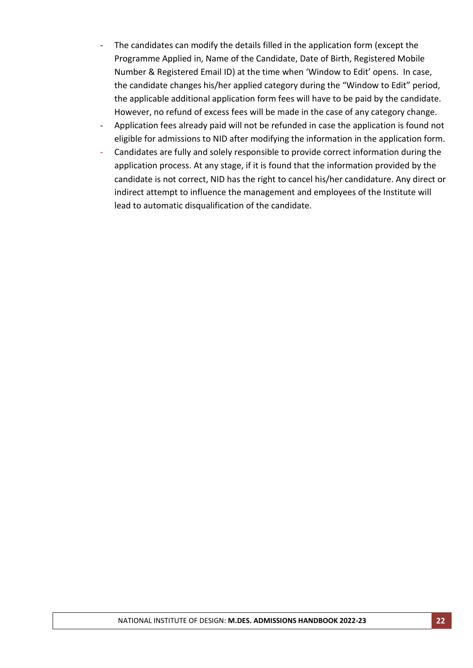- The candidates can modify the details filled in the application form (except the Programme Applied in, Name of the Candidate, Date of Birth, Registered Mobile Number & Registered Email ID) at the time when 'Window to Edit' opens. In case, the candidate changes his/her applied category during the "Window to Edit" period, the applicable additional application form fees will have to be paid by the candidate. However, no refund of excess fees will be made in the case of any category change.
- Application fees already paid will not be refunded in case the application is found not eligible for admissions to NID after modifying the information in the application form.
- Candidates are fully and solely responsible to provide correct information during the application process. At any stage, if it is found that the information provided by the candidate is not correct, NID has the right to cancel his/her candidature. Any direct or indirect attempt to influence the management and employees of the Institute will lead to automatic disqualification of the candidate.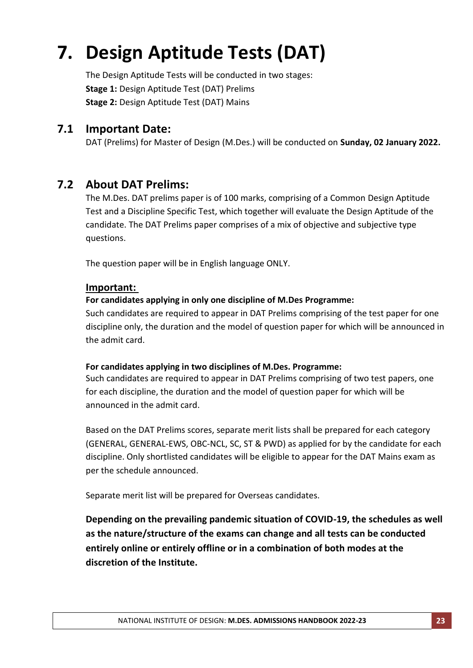# **7. Design Aptitude Tests (DAT)**

The Design Aptitude Tests will be conducted in two stages: **Stage 1:** Design Aptitude Test (DAT) Prelims **Stage 2:** Design Aptitude Test (DAT) Mains

## **7.1 Important Date:**

DAT (Prelims) for Master of Design (M.Des.) will be conducted on **Sunday, 02 January 2022.**

## **7.2 About DAT Prelims:**

The M.Des. DAT prelims paper is of 100 marks, comprising of a Common Design Aptitude Test and a Discipline Specific Test, which together will evaluate the Design Aptitude of the candidate. The DAT Prelims paper comprises of a mix of objective and subjective type questions.

The question paper will be in English language ONLY.

### **Important:**

### **For candidates applying in only one discipline of M.Des Programme:**

Such candidates are required to appear in DAT Prelims comprising of the test paper for one discipline only, the duration and the model of question paper for which will be announced in the admit card.

### **For candidates applying in two disciplines of M.Des. Programme:**

Such candidates are required to appear in DAT Prelims comprising of two test papers, one for each discipline, the duration and the model of question paper for which will be announced in the admit card.

Based on the DAT Prelims scores, separate merit lists shall be prepared for each category (GENERAL, GENERAL-EWS, OBC-NCL, SC, ST & PWD) as applied for by the candidate for each discipline. Only shortlisted candidates will be eligible to appear for the DAT Mains exam as per the schedule announced.

Separate merit list will be prepared for Overseas candidates.

**Depending on the prevailing pandemic situation of COVID-19, the schedules as well as the nature/structure of the exams can change and all tests can be conducted entirely online or entirely offline or in a combination of both modes at the discretion of the Institute.**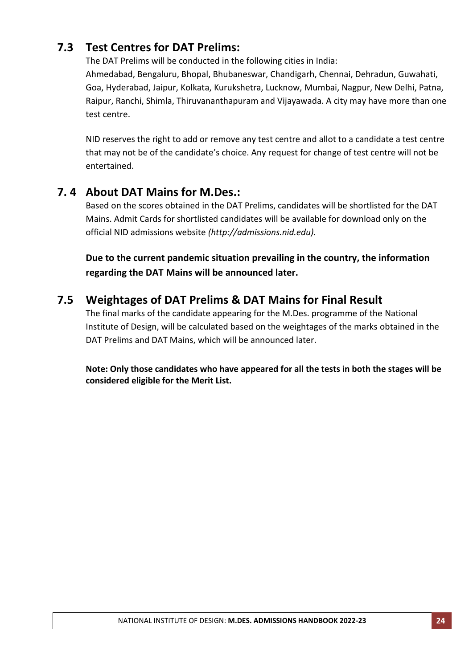# **7.3 Test Centres for DAT Prelims:**

The DAT Prelims will be conducted in the following cities in India:

Ahmedabad, Bengaluru, Bhopal, Bhubaneswar, Chandigarh, Chennai, Dehradun, Guwahati, Goa, Hyderabad, Jaipur, Kolkata, Kurukshetra, Lucknow, Mumbai, Nagpur, New Delhi, Patna, Raipur, Ranchi, Shimla, Thiruvananthapuram and Vijayawada. A city may have more than one test centre.

NID reserves the right to add or remove any test centre and allot to a candidate a test centre that may not be of the candidate's choice. Any request for change of test centre will not be entertained.

# **7. 4 About DAT Mains for M.Des.:**

Based on the scores obtained in the DAT Prelims, candidates will be shortlisted for the DAT Mains. Admit Cards for shortlisted candidates will be available for download only on the official NID admissions website *(http:/[/admissions.nid.edu\)](http://admissions.nid.edu/).*

**Due to the current pandemic situation prevailing in the country, the information regarding the DAT Mains will be announced later.**

# **7.5 Weightages of DAT Prelims & DAT Mains for Final Result**

The final marks of the candidate appearing for the M.Des. programme of the National Institute of Design, will be calculated based on the weightages of the marks obtained in the DAT Prelims and DAT Mains, which will be announced later.

**Note: Only those candidates who have appeared for all the tests in both the stages will be considered eligible for the Merit List.**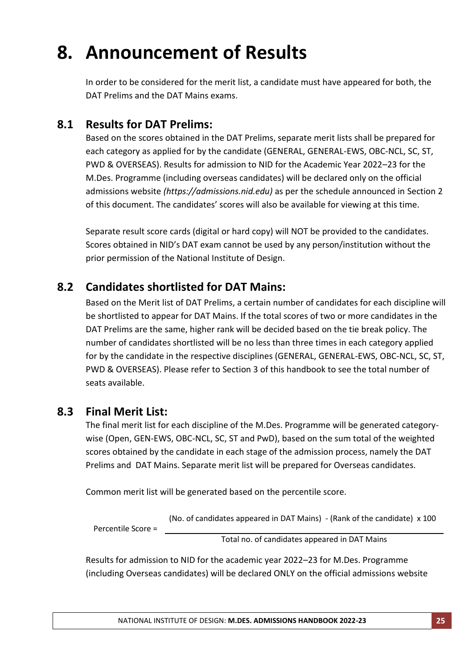# **8. Announcement of Results**

In order to be considered for the merit list, a candidate must have appeared for both, the DAT Prelims and the DAT Mains exams.

## **8.1 Results for DAT Prelims:**

Based on the scores obtained in the DAT Prelims, separate merit lists shall be prepared for each category as applied for by the candidate (GENERAL, GENERAL-EWS, OBC-NCL, SC, ST, PWD & OVERSEAS). Results for admission to NID for the Academic Year 2022–23 for the M.Des. Programme (including overseas candidates) will be declared only on the official admissions website *(https://admissions.nid.edu)* as per the schedule announced in Section 2 of this document. The candidates' scores will also be available for viewing at this time.

Separate result score cards (digital or hard copy) will NOT be provided to the candidates. Scores obtained in NID's DAT exam cannot be used by any person/institution without the prior permission of the National Institute of Design.

# **8.2 Candidates shortlisted for DAT Mains:**

Based on the Merit list of DAT Prelims, a certain number of candidates for each discipline will be shortlisted to appear for DAT Mains. If the total scores of two or more candidates in the DAT Prelims are the same, higher rank will be decided based on the tie break policy. The number of candidates shortlisted will be no less than three times in each category applied for by the candidate in the respective disciplines (GENERAL, GENERAL-EWS, OBC-NCL, SC, ST, PWD & OVERSEAS). Please refer to Section 3 of this handbook to see the total number of seats available.

## **8.3 Final Merit List:**

The final merit list for each discipline of the M.Des. Programme will be generated categorywise (Open, GEN-EWS, OBC-NCL, SC, ST and PwD), based on the sum total of the weighted scores obtained by the candidate in each stage of the admission process, namely the DAT Prelims and DAT Mains. Separate merit list will be prepared for Overseas candidates.

Common merit list will be generated based on the percentile score.

(No. of candidates appeared in DAT Mains) - (Rank of the candidate) x 100

Percentile Score =

Total no. of candidates appeared in DAT Mains

Results for admission to NID for the academic year 2022–23 for M.Des. Programme (including Overseas candidates) will be declared ONLY on the official admissions website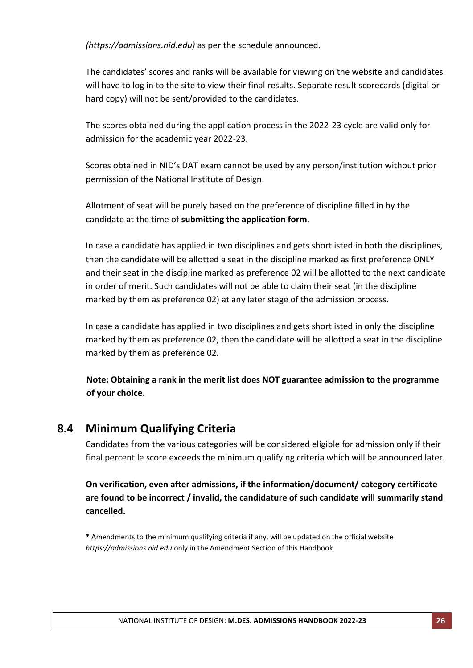*(https://admissions.nid.edu)* as per the schedule announced.

The candidates' scores and ranks will be available for viewing on the website and candidates will have to log in to the site to view their final results. Separate result scorecards (digital or hard copy) will not be sent/provided to the candidates.

The scores obtained during the application process in the 2022-23 cycle are valid only for admission for the academic year 2022-23.

Scores obtained in NID's DAT exam cannot be used by any person/institution without prior permission of the National Institute of Design.

Allotment of seat will be purely based on the preference of discipline filled in by the candidate at the time of **submitting the application form**.

In case a candidate has applied in two disciplines and gets shortlisted in both the disciplines, then the candidate will be allotted a seat in the discipline marked as first preference ONLY and their seat in the discipline marked as preference 02 will be allotted to the next candidate in order of merit. Such candidates will not be able to claim their seat (in the discipline marked by them as preference 02) at any later stage of the admission process.

In case a candidate has applied in two disciplines and gets shortlisted in only the discipline marked by them as preference 02, then the candidate will be allotted a seat in the discipline marked by them as preference 02.

**Note: Obtaining a rank in the merit list does NOT guarantee admission to the programme of your choice.**

## **8.4 Minimum Qualifying Criteria**

Candidates from the various categories will be considered eligible for admission only if their final percentile score exceeds the minimum qualifying criteria which will be announced later.

**On verification, even after admissions, if the information/document/ category certificate are found to be incorrect / invalid, the candidature of such candidate will summarily stand cancelled.**

\* Amendments to the minimum qualifying criteria if any, will be updated on the official website *https://admissions.nid.edu* only in the Amendment Section of this Handbook*.*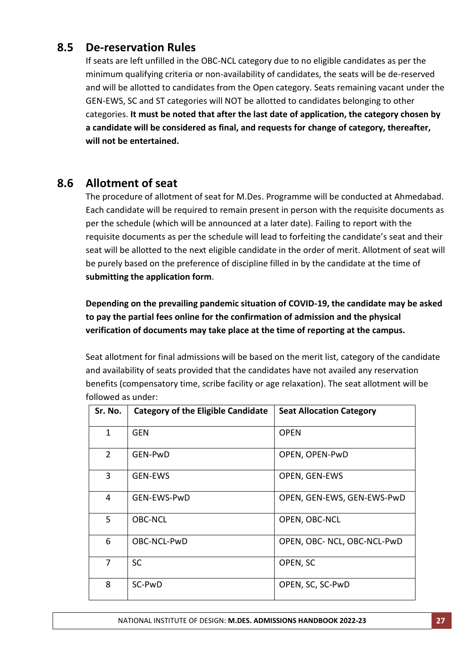## **8.5 De-reservation Rules**

If seats are left unfilled in the OBC-NCL category due to no eligible candidates as per the minimum qualifying criteria or non-availability of candidates, the seats will be de-reserved and will be allotted to candidates from the Open category. Seats remaining vacant under the GEN-EWS, SC and ST categories will NOT be allotted to candidates belonging to other categories. **It must be noted that after the last date of application, the category chosen by a candidate will be considered as final, and requests for change of category, thereafter, will not be entertained.**

## **8.6 Allotment of seat**

The procedure of allotment of seat for M.Des. Programme will be conducted at Ahmedabad. Each candidate will be required to remain present in person with the requisite documents as per the schedule (which will be announced at a later date). Failing to report with the requisite documents as per the schedule will lead to forfeiting the candidate's seat and their seat will be allotted to the next eligible candidate in the order of merit. Allotment of seat will be purely based on the preference of discipline filled in by the candidate at the time of **submitting the application form**.

**Depending on the prevailing pandemic situation of COVID-19, the candidate may be asked to pay the partial fees online for the confirmation of admission and the physical verification of documents may take place at the time of reporting at the campus.** 

Seat allotment for final admissions will be based on the merit list, category of the candidate and availability of seats provided that the candidates have not availed any reservation benefits (compensatory time, scribe facility or age relaxation). The seat allotment will be followed as under:

| Sr. No.        | <b>Category of the Eligible Candidate</b> | <b>Seat Allocation Category</b> |
|----------------|-------------------------------------------|---------------------------------|
| $\mathbf{1}$   | <b>GEN</b>                                | <b>OPEN</b>                     |
| $\overline{2}$ | <b>GEN-PwD</b>                            | OPEN, OPEN-PwD                  |
| 3              | <b>GEN-EWS</b>                            | OPEN, GEN-EWS                   |
| 4              | GEN-EWS-PwD                               | OPEN, GEN-EWS, GEN-EWS-PwD      |
| 5              | <b>OBC-NCL</b>                            | OPEN, OBC-NCL                   |
| 6              | OBC-NCL-PwD                               | OPEN, OBC- NCL, OBC-NCL-PwD     |
| 7              | <b>SC</b>                                 | OPEN, SC                        |
| 8              | SC-PwD                                    | OPEN, SC, SC-PwD                |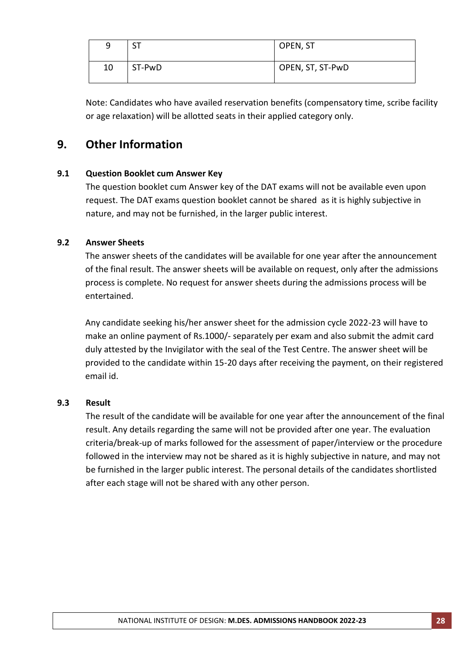| q  | cт<br>ا د | OPEN, ST         |
|----|-----------|------------------|
| 10 | ST-PwD    | OPEN, ST, ST-PwD |

Note: Candidates who have availed reservation benefits (compensatory time, scribe facility or age relaxation) will be allotted seats in their applied category only.

# **9. Other Information**

### **9.1 Question Booklet cum Answer Key**

The question booklet cum Answer key of the DAT exams will not be available even upon request. The DAT exams question booklet cannot be shared as it is highly subjective in nature, and may not be furnished, in the larger public interest.

### **9.2 Answer Sheets**

The answer sheets of the candidates will be available for one year after the announcement of the final result. The answer sheets will be available on request, only after the admissions process is complete. No request for answer sheets during the admissions process will be entertained.

Any candidate seeking his/her answer sheet for the admission cycle 2022-23 will have to make an online payment of Rs.1000/- separately per exam and also submit the admit card duly attested by the Invigilator with the seal of the Test Centre. The answer sheet will be provided to the candidate within 15-20 days after receiving the payment, on their registered email id.

### **9.3 Result**

The result of the candidate will be available for one year after the announcement of the final result. Any details regarding the same will not be provided after one year. The evaluation criteria/break-up of marks followed for the assessment of paper/interview or the procedure followed in the interview may not be shared as it is highly subjective in nature, and may not be furnished in the larger public interest. The personal details of the candidates shortlisted after each stage will not be shared with any other person.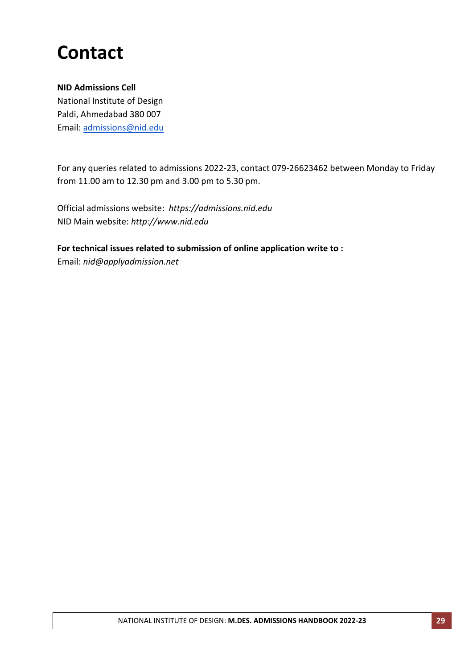# **Contact**

### **NID Admissions Cell**

National Institute of Design Paldi, Ahmedabad 380 007 Email: [admissions@nid.edu](mailto:admissions@nid.edu)

For any queries related to admissions 2022-23, contact 079-26623462 between Monday to Friday from 11.00 am to 12.30 pm and 3.00 pm to 5.30 pm.

Official admissions website: *[https://admissions.nid.edu](http://admissions.nid.edu/)* NID Main website: *http://www.nid.edu*

**For technical issues related to submission of online application write to :**

Email: *nid@applyadmission.net*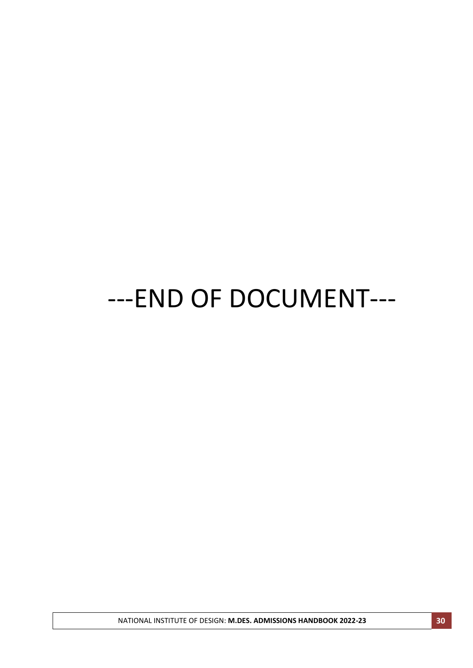# ---END OF DOCUMENT---

NATIONAL INSTITUTE OF DESIGN: **M.DES. ADMISSIONS HANDBOOK 2022-23 30**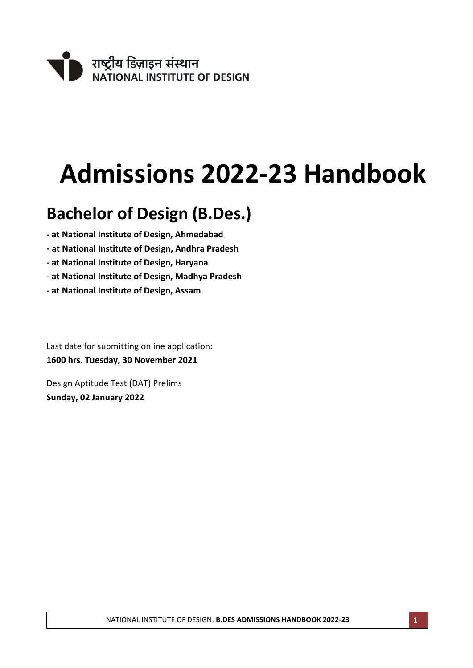

# **Admissions 2022-23 Handbook**

# **Bachelor of Design (B.Des.)**

- **- at National Institute of Design, Ahmedabad**
- **- at National Institute of Design, Andhra Pradesh**
- **- at National Institute of Design, Haryana**
- **- at National Institute of Design, Madhya Pradesh**
- **- at National Institute of Design, Assam**

Last date for submitting online application: **1600 hrs. Tuesday, 30 November 2021**

Design Aptitude Test (DAT) Prelims **Sunday, 02 January 2022**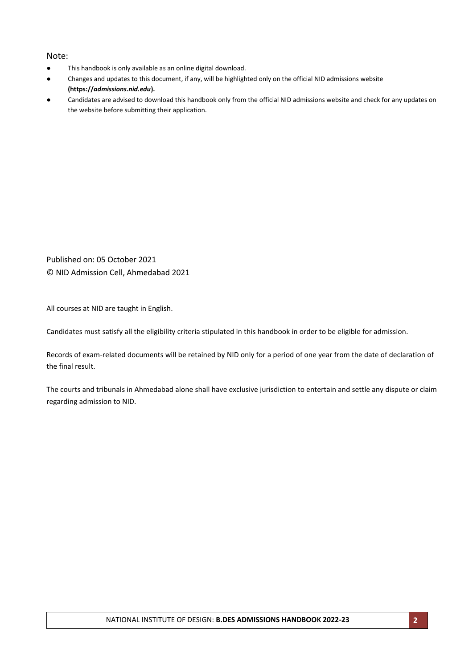#### Note:

- This handbook is only available as an online digital download.
- Changes and updates to this document, if any, will be highlighted only on the official NID admissions website **(https://***admissions.nid.edu***).**
- Candidates are advised to download this handbook only from the official NID admissions website and check for any updates on the website before submitting their application.

Published on: 05 October 2021 © NID Admission Cell, Ahmedabad 2021

All courses at NID are taught in English.

Candidates must satisfy all the eligibility criteria stipulated in this handbook in order to be eligible for admission.

Records of exam-related documents will be retained by NID only for a period of one year from the date of declaration of the final result.

The courts and tribunals in Ahmedabad alone shall have exclusive jurisdiction to entertain and settle any dispute or claim regarding admission to NID.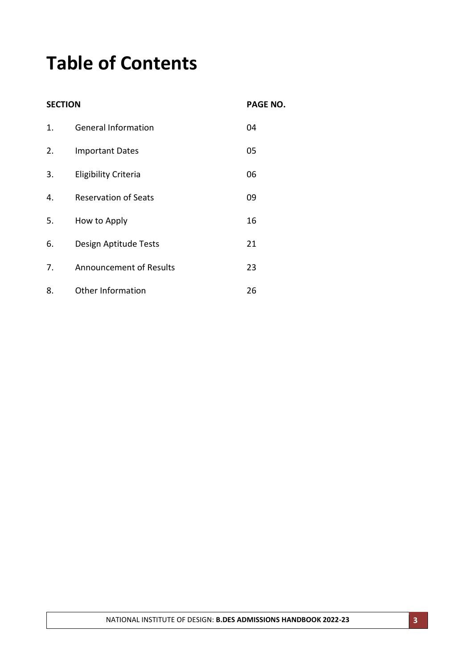# **Table of Contents**

**SECTION PAGE NO.**

| $\mathbf{1}$ . | <b>General Information</b>     | 04 |
|----------------|--------------------------------|----|
| 2.             | <b>Important Dates</b>         | 05 |
| 3.             | Eligibility Criteria           | 06 |
| 4.             | <b>Reservation of Seats</b>    | 09 |
| 5.             | How to Apply                   | 16 |
| 6.             | Design Aptitude Tests          | 21 |
| 7.             | <b>Announcement of Results</b> | 23 |
| 8.             | Other Information              | 26 |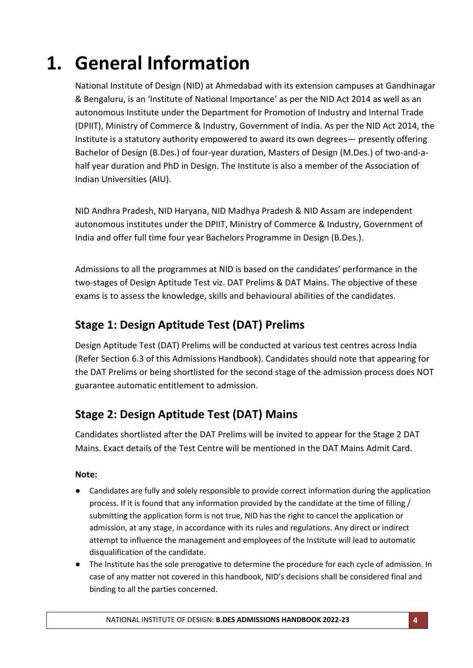# **1. General Information**

National Institute of Design (NID) at Ahmedabad with its extension campuses at Gandhinagar & Bengaluru, is an 'Institute of National Importance' as per the NID Act 2014 as well as an autonomous Institute under the Department for Promotion of Industry and Internal Trade (DPIIT), Ministry of Commerce & Industry, Government of India. As per the NID Act 2014, the Institute is a statutory authority empowered to award its own degrees— presently offering Bachelor of Design (B.Des.) of four-year duration, Masters of Design (M.Des.) of two-and-ahalf year duration and PhD in Design. The Institute is also a member of the Association of Indian Universities (AIU).

NID Andhra Pradesh, NID Haryana, NID Madhya Pradesh & NID Assam are independent autonomous institutes under the DPIIT, Ministry of Commerce & Industry, Government of India and offer full time four year Bachelors Programme in Design (B.Des.).

Admissions to all the programmes at NID is based on the candidates' performance in the two-stages of Design Aptitude Test viz. DAT Prelims & DAT Mains. The objective of these exams is to assess the knowledge, skills and behavioural abilities of the candidates.

# **Stage 1: Design Aptitude Test (DAT) Prelims**

Design Aptitude Test (DAT) Prelims will be conducted at various test centres across India (Refer Section 6.3 of this Admissions Handbook). Candidates should note that appearing for the DAT Prelims or being shortlisted for the second stage of the admission process does NOT guarantee automatic entitlement to admission.

# **Stage 2: Design Aptitude Test (DAT) Mains**

Candidates shortlisted after the DAT Prelims will be invited to appear for the Stage 2 DAT Mains. Exact details of the Test Centre will be mentioned in the DAT Mains Admit Card.

### **Note:**

- Candidates are fully and solely responsible to provide correct information during the application process. If it is found that any information provided by the candidate at the time of filling / submitting the application form is not true, NID has the right to cancel the application or admission, at any stage, in accordance with its rules and regulations. Any direct or indirect attempt to influence the management and employees of the Institute will lead to automatic disqualification of the candidate.
- The Institute has the sole prerogative to determine the procedure for each cycle of admission. In case of any matter not covered in this handbook, NID's decisions shall be considered final and binding to all the parties concerned.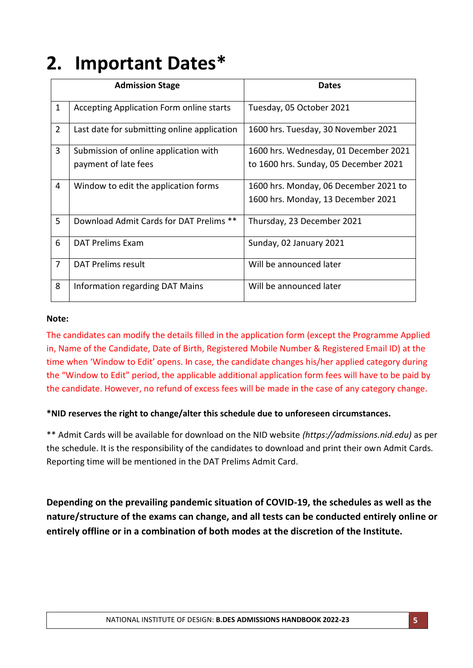# **2. Important Dates\***

|                | <b>Admission Stage</b>                      | <b>Dates</b>                          |
|----------------|---------------------------------------------|---------------------------------------|
| $\mathbf{1}$   | Accepting Application Form online starts    | Tuesday, 05 October 2021              |
| $\overline{2}$ | Last date for submitting online application | 1600 hrs. Tuesday, 30 November 2021   |
| 3              | Submission of online application with       | 1600 hrs. Wednesday, 01 December 2021 |
|                | payment of late fees                        | to 1600 hrs. Sunday, 05 December 2021 |
| 4              | Window to edit the application forms        | 1600 hrs. Monday, 06 December 2021 to |
|                |                                             | 1600 hrs. Monday, 13 December 2021    |
| 5              | Download Admit Cards for DAT Prelims **     | Thursday, 23 December 2021            |
| 6              | <b>DAT Prelims Exam</b>                     | Sunday, 02 January 2021               |
| $\overline{7}$ | <b>DAT Prelims result</b>                   | Will be announced later               |
| 8              | Information regarding DAT Mains             | Will be announced later               |

#### **Note:**

The candidates can modify the details filled in the application form (except the Programme Applied in, Name of the Candidate, Date of Birth, Registered Mobile Number & Registered Email ID) at the time when 'Window to Edit' opens. In case, the candidate changes his/her applied category during the "Window to Edit" period, the applicable additional application form fees will have to be paid by the candidate. However, no refund of excess fees will be made in the case of any category change.

### **\*NID reserves the right to change/alter this schedule due to unforeseen circumstances.**

\*\* Admit Cards will be available for download on the NID website *(https://admissions.nid.edu)* as per the schedule. It is the responsibility of the candidates to download and print their own Admit Cards. Reporting time will be mentioned in the DAT Prelims Admit Card.

**Depending on the prevailing pandemic situation of COVID-19, the schedules as well as the nature/structure of the exams can change, and all tests can be conducted entirely online or entirely offline or in a combination of both modes at the discretion of the Institute.**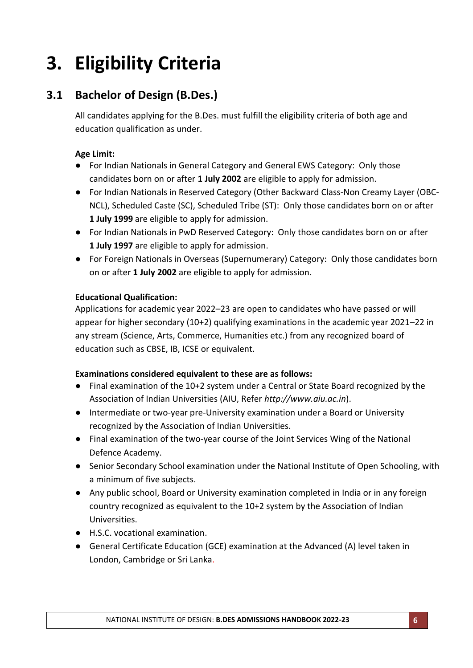# **3. Eligibility Criteria**

# **3.1 Bachelor of Design (B.Des.)**

All candidates applying for the B.Des. must fulfill the eligibility criteria of both age and education qualification as under.

### **Age Limit:**

- For Indian Nationals in General Category and General EWS Category: Only those candidates born on or after **1 July 2002** are eligible to apply for admission.
- For Indian Nationals in Reserved Category (Other Backward Class-Non Creamy Layer (OBC-NCL), Scheduled Caste (SC), Scheduled Tribe (ST): Only those candidates born on or after **1 July 1999** are eligible to apply for admission.
- For Indian Nationals in PwD Reserved Category: Only those candidates born on or after **1 July 1997** are eligible to apply for admission.
- For Foreign Nationals in Overseas (Supernumerary) Category: Only those candidates born on or after **1 July 2002** are eligible to apply for admission.

### **Educational Qualification:**

Applications for academic year 2022–23 are open to candidates who have passed or will appear for higher secondary (10+2) qualifying examinations in the academic year 2021–22 in any stream (Science, Arts, Commerce, Humanities etc.) from any recognized board of education such as CBSE, IB, ICSE or equivalent.

### **Examinations considered equivalent to these are as follows:**

- Final examination of the 10+2 system under a Central or State Board recognized by the Association of Indian Universities (AIU, Refer *http://www.aiu.ac.in*).
- Intermediate or two-year pre-University examination under a Board or University recognized by the Association of Indian Universities.
- Final examination of the two-year course of the Joint Services Wing of the National Defence Academy.
- Senior Secondary School examination under the National Institute of Open Schooling, with a minimum of five subjects.
- Any public school, Board or University examination completed in India or in any foreign country recognized as equivalent to the 10+2 system by the Association of Indian Universities.
- H.S.C. vocational examination.
- General Certificate Education (GCE) examination at the Advanced (A) level taken in London, Cambridge or Sri Lanka.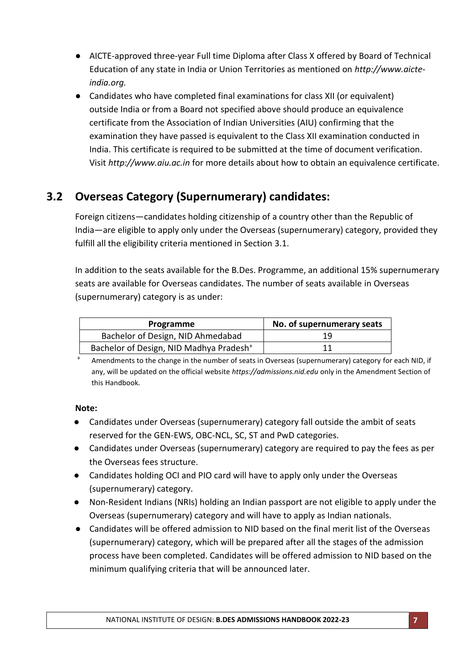- AICTE-approved three-year Full time Diploma after Class X offered by Board of Technical Education of any state in India or Union Territories as mentioned on *http://www.aicteindia.org.*
- Candidates who have completed final examinations for class XII (or equivalent) outside India or from a Board not specified above should produce an equivalence certificate from the Association of Indian Universities (AIU) confirming that the examination they have passed is equivalent to the Class XII examination conducted in India. This certificate is required to be submitted at the time of document verification. Visit *http://www.aiu.ac.in* for more details about how to obtain an equivalence certificate.

# **3.2 Overseas Category (Supernumerary) candidates:**

Foreign citizens—candidates holding citizenship of a country other than the Republic of India—are eligible to apply only under the Overseas (supernumerary) category, provided they fulfill all the eligibility criteria mentioned in Section 3.1.

In addition to the seats available for the B.Des. Programme, an additional 15% supernumerary seats are available for Overseas candidates. The number of seats available in Overseas (supernumerary) category is as under:

| Programme                                           | No. of supernumerary seats |
|-----------------------------------------------------|----------------------------|
| Bachelor of Design, NID Ahmedabad                   | 19                         |
| Bachelor of Design, NID Madhya Pradesh <sup>+</sup> |                            |

<sup>+</sup> Amendments to the change in the number of seats in Overseas (supernumerary) category for each NID, if any, will be updated on the official website *https://admissions.nid.edu* only in the Amendment Section of this Handbook*.*

### **Note:**

- Candidates under Overseas (supernumerary) category fall outside the ambit of seats reserved for the GEN-EWS, OBC-NCL, SC, ST and PwD categories.
- Candidates under Overseas (supernumerary) category are required to pay the fees as per the Overseas fees structure.
- Candidates holding OCI and PIO card will have to apply only under the Overseas (supernumerary) category.
- Non-Resident Indians (NRIs) holding an Indian passport are not eligible to apply under the Overseas (supernumerary) category and will have to apply as Indian nationals.
- Candidates will be offered admission to NID based on the final merit list of the Overseas (supernumerary) category, which will be prepared after all the stages of the admission process have been completed. Candidates will be offered admission to NID based on the minimum qualifying criteria that will be announced later.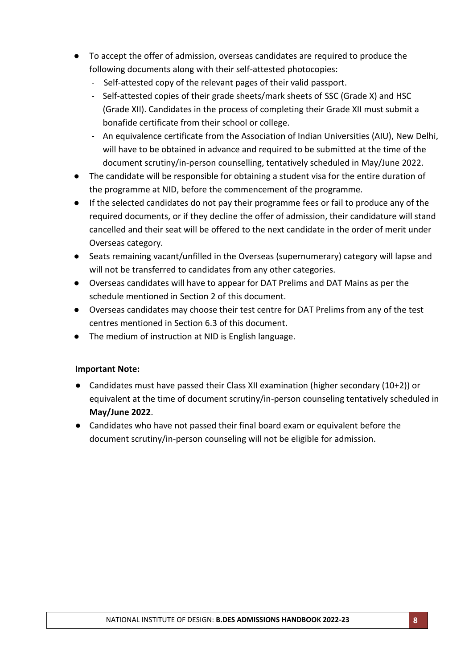- To accept the offer of admission, overseas candidates are required to produce the following documents along with their self-attested photocopies:
	- Self-attested copy of the relevant pages of their valid passport.
	- Self-attested copies of their grade sheets/mark sheets of SSC (Grade X) and HSC (Grade XII). Candidates in the process of completing their Grade XII must submit a bonafide certificate from their school or college.
	- An equivalence certificate from the Association of Indian Universities (AIU), New Delhi, will have to be obtained in advance and required to be submitted at the time of the document scrutiny/in-person counselling, tentatively scheduled in May/June 2022.
- The candidate will be responsible for obtaining a student visa for the entire duration of the programme at NID, before the commencement of the programme.
- If the selected candidates do not pay their programme fees or fail to produce any of the required documents, or if they decline the offer of admission, their candidature will stand cancelled and their seat will be offered to the next candidate in the order of merit under Overseas category.
- Seats remaining vacant/unfilled in the Overseas (supernumerary) category will lapse and will not be transferred to candidates from any other categories.
- Overseas candidates will have to appear for DAT Prelims and DAT Mains as per the schedule mentioned in Section 2 of this document.
- Overseas candidates may choose their test centre for DAT Prelims from any of the test centres mentioned in Section 6.3 of this document.
- The medium of instruction at NID is English language.

### **Important Note:**

- Candidates must have passed their Class XII examination (higher secondary (10+2)) or equivalent at the time of document scrutiny/in-person counseling tentatively scheduled in **May/June 2022**.
- Candidates who have not passed their final board exam or equivalent before the document scrutiny/in-person counseling will not be eligible for admission.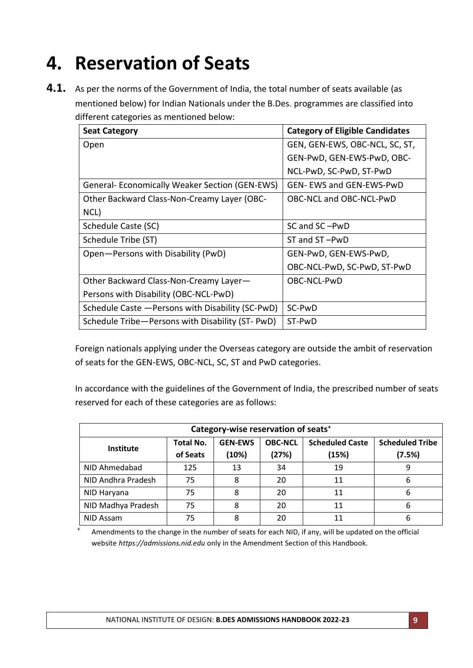# **4. Reservation of Seats**

**4.1.** As per the norms of the Government of India, the total number of seats available (as mentioned below) for Indian Nationals under the B.Des. programmes are classified into different categories as mentioned below:

| <b>Seat Category</b>                                 | <b>Category of Eligible Candidates</b> |
|------------------------------------------------------|----------------------------------------|
| Open                                                 | GEN, GEN-EWS, OBC-NCL, SC, ST,         |
|                                                      | GEN-PwD, GEN-EWS-PwD, OBC-             |
|                                                      | NCL-PwD, SC-PwD, ST-PwD                |
| <b>General-Economically Weaker Section (GEN-EWS)</b> | <b>GEN- EWS and GEN-EWS-PWD</b>        |
| Other Backward Class-Non-Creamy Layer (OBC-          | OBC-NCL and OBC-NCL-PwD                |
| NCL)                                                 |                                        |
| Schedule Caste (SC)                                  | SC and SC-PwD                          |
| Schedule Tribe (ST)                                  | ST and ST-PwD                          |
| Open-Persons with Disability (PwD)                   | GEN-PwD, GEN-EWS-PwD,                  |
|                                                      | OBC-NCL-PwD, SC-PwD, ST-PwD            |
| Other Backward Class-Non-Creamy Layer-               | OBC-NCL-PwD                            |
| Persons with Disability (OBC-NCL-PwD)                |                                        |
| Schedule Caste - Persons with Disability (SC-PwD)    | SC-PwD                                 |
| Schedule Tribe-Persons with Disability (ST-PwD)      | ST-PwD                                 |

Foreign nationals applying under the Overseas category are outside the ambit of reservation of seats for the GEN-EWS, OBC-NCL, SC, ST and PwD categories.

In accordance with the guidelines of the Government of India, the prescribed number of seats reserved for each of these categories are as follows:

| Category-wise reservation of seats <sup>+</sup> |                  |                |                |                        |                        |
|-------------------------------------------------|------------------|----------------|----------------|------------------------|------------------------|
| Institute                                       | <b>Total No.</b> | <b>GEN-EWS</b> | <b>OBC-NCL</b> | <b>Scheduled Caste</b> | <b>Scheduled Tribe</b> |
|                                                 | of Seats         | (10%)          | (27%)          | (15%)                  | (7.5%)                 |
| NID Ahmedabad                                   | 125              | 13             | 34             | 19                     | 9                      |
| NID Andhra Pradesh                              | 75               | 8              | 20             | 11                     | 6                      |
| NID Haryana                                     | 75               | 8              | 20             | 11                     | 6                      |
| NID Madhya Pradesh                              | 75               | 8              | 20             | 11                     | 6                      |
| NID Assam                                       | 75               | 8              | 20             | 11                     | 6                      |

Amendments to the change in the number of seats for each NID, if any, will be updated on the official website *https://admissions.nid.edu* only in the Amendment Section of this Handbook*.*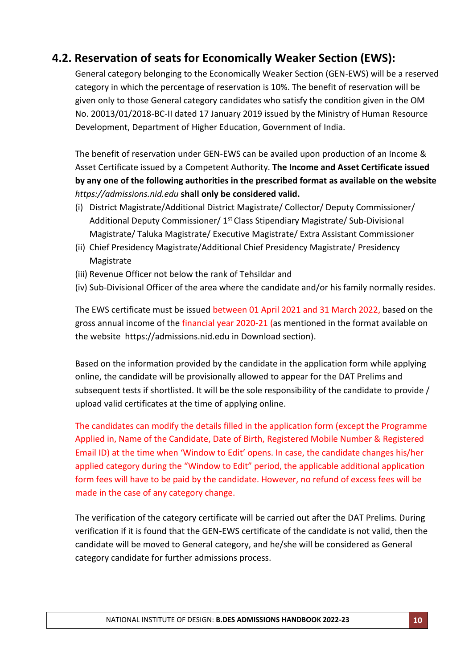# **4.2. Reservation of seats for Economically Weaker Section (EWS):**

General category belonging to the Economically Weaker Section (GEN-EWS) will be a reserved category in which the percentage of reservation is 10%. The benefit of reservation will be given only to those General category candidates who satisfy the condition given in the OM No. 20013/01/2018-BC-II dated 17 January 2019 issued by the Ministry of Human Resource Development, Department of Higher Education, Government of India.

The benefit of reservation under GEN-EWS can be availed upon production of an Income & Asset Certificate issued by a Competent Authority. **The Income and Asset Certificate issued by any one of the following authorities in the prescribed format as available on the website**  *https://admissions.nid.edu* **shall only be considered valid.**

- (i) District Magistrate/Additional District Magistrate/ Collector/ Deputy Commissioner/ Additional Deputy Commissioner/ 1<sup>st</sup> Class Stipendiary Magistrate/ Sub-Divisional Magistrate/ Taluka Magistrate/ Executive Magistrate/ Extra Assistant Commissioner
- (ii) Chief Presidency Magistrate/Additional Chief Presidency Magistrate/ Presidency Magistrate
- (iii) Revenue Officer not below the rank of Tehsildar and
- (iv) Sub-Divisional Officer of the area where the candidate and/or his family normally resides.

The EWS certificate must be issued between 01 April 2021 and 31 March 2022, based on the gross annual income of the financial year 2020-21 (as mentioned in the format available on the website [https://admissions.nid.edu](https://admissions.nid.edu/) in Download section).

Based on the information provided by the candidate in the application form while applying online, the candidate will be provisionally allowed to appear for the DAT Prelims and subsequent tests if shortlisted. It will be the sole responsibility of the candidate to provide / upload valid certificates at the time of applying online.

The candidates can modify the details filled in the application form (except the Programme Applied in, Name of the Candidate, Date of Birth, Registered Mobile Number & Registered Email ID) at the time when 'Window to Edit' opens. In case, the candidate changes his/her applied category during the "Window to Edit" period, the applicable additional application form fees will have to be paid by the candidate. However, no refund of excess fees will be made in the case of any category change.

The verification of the category certificate will be carried out after the DAT Prelims. During verification if it is found that the GEN-EWS certificate of the candidate is not valid, then the candidate will be moved to General category, and he/she will be considered as General category candidate for further admissions process.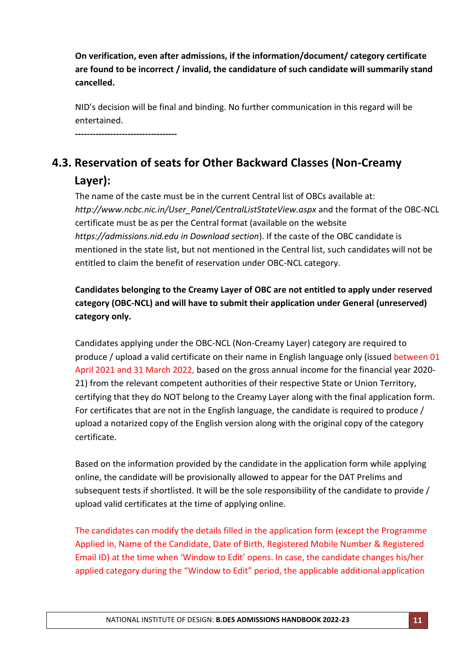**On verification, even after admissions, if the information/document/ category certificate are found to be incorrect / invalid, the candidature of such candidate will summarily stand cancelled.**

NID's decision will be final and binding. No further communication in this regard will be entertained.

**-----------------------------------**

# **4.3. Reservation of seats for Other Backward Classes (Non-Creamy Layer):**

The name of the caste must be in the current Central list of OBCs available at: *http://www.ncbc.nic.in/User\_Panel/CentralListStateView.aspx* and the format of the OBC-NCL certificate must be as per the Central format (available on the website *[https://admissions.nid.edu](https://admissions.nid.edu/) in Download section*). If the caste of the OBC candidate is mentioned in the state list, but not mentioned in the Central list, such candidates will not be entitled to claim the benefit of reservation under OBC-NCL category.

## **Candidates belonging to the Creamy Layer of OBC are not entitled to apply under reserved category (OBC-NCL) and will have to submit their application under General (unreserved) category only.**

Candidates applying under the OBC-NCL (Non-Creamy Layer) category are required to produce / upload a valid certificate on their name in English language only (issued between 01 April 2021 and 31 March 2022, based on the gross annual income for the financial year 2020- 21) from the relevant competent authorities of their respective State or Union Territory, certifying that they do NOT belong to the Creamy Layer along with the final application form. For certificates that are not in the English language, the candidate is required to produce / upload a notarized copy of the English version along with the original copy of the category certificate.

Based on the information provided by the candidate in the application form while applying online, the candidate will be provisionally allowed to appear for the DAT Prelims and subsequent tests if shortlisted. It will be the sole responsibility of the candidate to provide / upload valid certificates at the time of applying online.

The candidates can modify the details filled in the application form (except the Programme Applied in, Name of the Candidate, Date of Birth, Registered Mobile Number & Registered Email ID) at the time when 'Window to Edit' opens. In case, the candidate changes his/her applied category during the "Window to Edit" period, the applicable additional application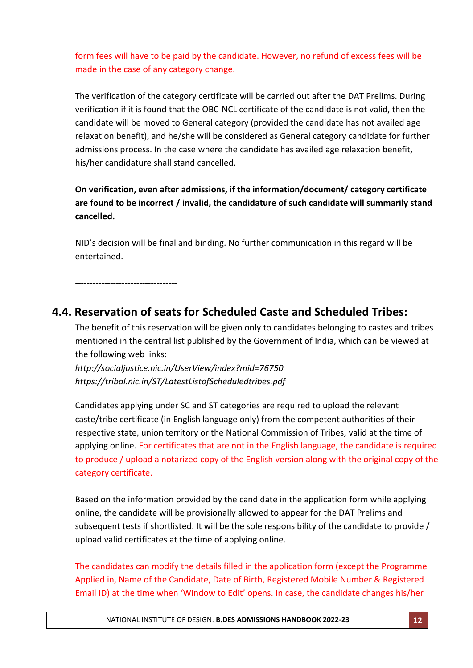form fees will have to be paid by the candidate. However, no refund of excess fees will be made in the case of any category change.

The verification of the category certificate will be carried out after the DAT Prelims. During verification if it is found that the OBC-NCL certificate of the candidate is not valid, then the candidate will be moved to General category (provided the candidate has not availed age relaxation benefit), and he/she will be considered as General category candidate for further admissions process. In the case where the candidate has availed age relaxation benefit, his/her candidature shall stand cancelled.

**On verification, even after admissions, if the information/document/ category certificate are found to be incorrect / invalid, the candidature of such candidate will summarily stand cancelled.**

NID's decision will be final and binding. No further communication in this regard will be entertained.

**-----------------------------------**

## **4.4. Reservation of seats for Scheduled Caste and Scheduled Tribes:**

The benefit of this reservation will be given only to candidates belonging to castes and tribes mentioned in the central list published by the Government of India, which can be viewed at the following web links:

*http://socialjustice.nic.in/UserView/index?mid=76750 <https://tribal.nic.in/ST/LatestListofScheduledtribes.pdf>*

Candidates applying under SC and ST categories are required to upload the relevant caste/tribe certificate (in English language only) from the competent authorities of their respective state, union territory or the National Commission of Tribes, valid at the time of applying online. For certificates that are not in the English language, the candidate is required to produce / upload a notarized copy of the English version along with the original copy of the category certificate.

Based on the information provided by the candidate in the application form while applying online, the candidate will be provisionally allowed to appear for the DAT Prelims and subsequent tests if shortlisted. It will be the sole responsibility of the candidate to provide / upload valid certificates at the time of applying online.

The candidates can modify the details filled in the application form (except the Programme Applied in, Name of the Candidate, Date of Birth, Registered Mobile Number & Registered Email ID) at the time when 'Window to Edit' opens. In case, the candidate changes his/her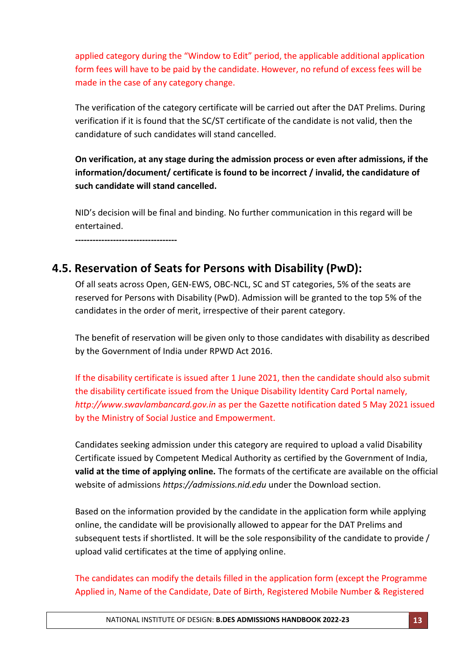applied category during the "Window to Edit" period, the applicable additional application form fees will have to be paid by the candidate. However, no refund of excess fees will be made in the case of any category change.

The verification of the category certificate will be carried out after the DAT Prelims. During verification if it is found that the SC/ST certificate of the candidate is not valid, then the candidature of such candidates will stand cancelled.

**On verification, at any stage during the admission process or even after admissions, if the information/document/ certificate is found to be incorrect / invalid, the candidature of such candidate will stand cancelled.** 

NID's decision will be final and binding. No further communication in this regard will be entertained.

**-----------------------------------**

# **4.5. Reservation of Seats for Persons with Disability (PwD):**

Of all seats across Open, GEN-EWS, OBC-NCL, SC and ST categories, 5% of the seats are reserved for Persons with Disability (PwD). Admission will be granted to the top 5% of the candidates in the order of merit, irrespective of their parent category.

The benefit of reservation will be given only to those candidates with disability as described by the Government of India under RPWD Act 2016.

If the disability certificate is issued after 1 June 2021, then the candidate should also submit the disability certificate issued from the Unique Disability Identity Card Portal namely, *[http://www.swavlambancard.gov.in](http://www.swavlambancard.gov.in/)* as per the Gazette notification dated 5 May 2021 issued by the Ministry of Social Justice and Empowerment.

Candidates seeking admission under this category are required to upload a valid Disability Certificate issued by Competent Medical Authority as certified by the Government of India, **valid at the time of applying online.** The formats of the certificate are available on the official website of admissions *[https://admissions.nid.edu](https://admissions.nid.edu/)* under the Download section.

Based on the information provided by the candidate in the application form while applying online, the candidate will be provisionally allowed to appear for the DAT Prelims and subsequent tests if shortlisted. It will be the sole responsibility of the candidate to provide / upload valid certificates at the time of applying online.

The candidates can modify the details filled in the application form (except the Programme Applied in, Name of the Candidate, Date of Birth, Registered Mobile Number & Registered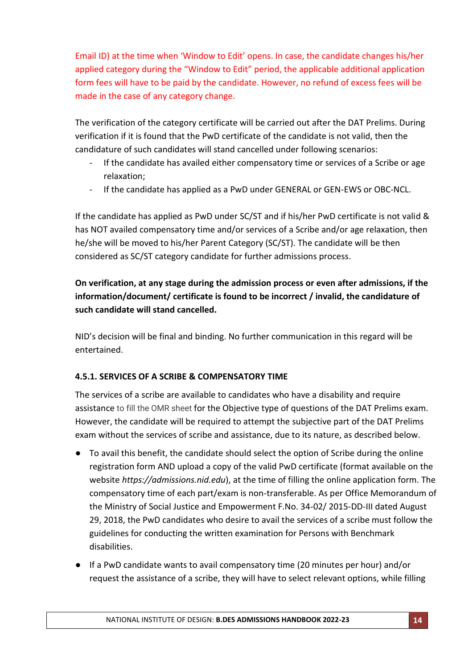Email ID) at the time when 'Window to Edit' opens. In case, the candidate changes his/her applied category during the "Window to Edit" period, the applicable additional application form fees will have to be paid by the candidate. However, no refund of excess fees will be made in the case of any category change.

The verification of the category certificate will be carried out after the DAT Prelims. During verification if it is found that the PwD certificate of the candidate is not valid, then the candidature of such candidates will stand cancelled under following scenarios:

- If the candidate has availed either compensatory time or services of a Scribe or age relaxation;
- If the candidate has applied as a PwD under GENERAL or GEN-EWS or OBC-NCL.

If the candidate has applied as PwD under SC/ST and if his/her PwD certificate is not valid & has NOT availed compensatory time and/or services of a Scribe and/or age relaxation, then he/she will be moved to his/her Parent Category (SC/ST). The candidate will be then considered as SC/ST category candidate for further admissions process.

## **On verification, at any stage during the admission process or even after admissions, if the information/document/ certificate is found to be incorrect / invalid, the candidature of such candidate will stand cancelled.**

NID's decision will be final and binding. No further communication in this regard will be entertained.

### **4.5.1. SERVICES OF A SCRIBE & COMPENSATORY TIME**

The services of a scribe are available to candidates who have a disability and require assistance to fill the OMR sheet for the Objective type of questions of the DAT Prelims exam. However, the candidate will be required to attempt the subjective part of the DAT Prelims exam without the services of scribe and assistance, due to its nature, as described below.

- To avail this benefit, the candidate should select the option of Scribe during the online registration form AND upload a copy of the valid PwD certificate (format available on the website *[https://admissions.nid.edu](https://admissions.nid.edu/)*), at the time of filling the online application form. The compensatory time of each part/exam is non-transferable. As per Office Memorandum of the Ministry of Social Justice and Empowerment F.No. 34-02/ 2015-DD-III dated August 29, 2018, the PwD candidates who desire to avail the services of a scribe must follow the guidelines for conducting the written examination for Persons with Benchmark disabilities.
- If a PwD candidate wants to avail compensatory time (20 minutes per hour) and/or request the assistance of a scribe, they will have to select relevant options, while filling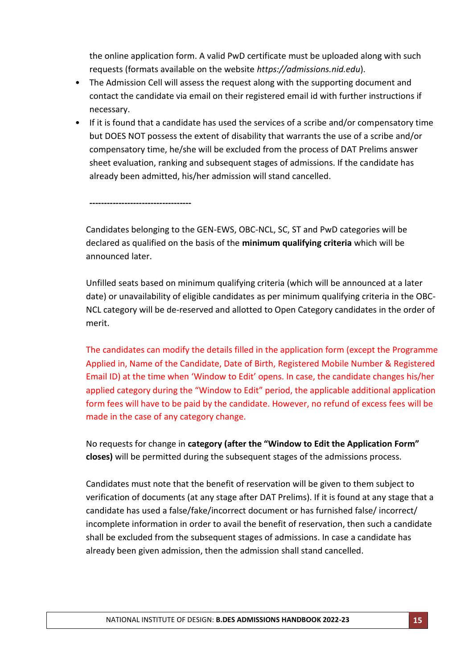the online application form. A valid PwD certificate must be uploaded along with such requests (formats available on the website *[https://admissions.nid.edu](https://admissions.nid.edu/)*).

- The Admission Cell will assess the request along with the supporting document and contact the candidate via email on their registered email id with further instructions if necessary.
- If it is found that a candidate has used the services of a scribe and/or compensatory time but DOES NOT possess the extent of disability that warrants the use of a scribe and/or compensatory time, he/she will be excluded from the process of DAT Prelims answer sheet evaluation, ranking and subsequent stages of admissions. If the candidate has already been admitted, his/her admission will stand cancelled.

**-----------------------------------**

Candidates belonging to the GEN-EWS, OBC-NCL, SC, ST and PwD categories will be declared as qualified on the basis of the **minimum qualifying criteria** which will be announced later.

Unfilled seats based on minimum qualifying criteria (which will be announced at a later date) or unavailability of eligible candidates as per minimum qualifying criteria in the OBC-NCL category will be de-reserved and allotted to Open Category candidates in the order of merit.

The candidates can modify the details filled in the application form (except the Programme Applied in, Name of the Candidate, Date of Birth, Registered Mobile Number & Registered Email ID) at the time when 'Window to Edit' opens. In case, the candidate changes his/her applied category during the "Window to Edit" period, the applicable additional application form fees will have to be paid by the candidate. However, no refund of excess fees will be made in the case of any category change.

No requests for change in **category (after the "Window to Edit the Application Form" closes)** will be permitted during the subsequent stages of the admissions process.

Candidates must note that the benefit of reservation will be given to them subject to verification of documents (at any stage after DAT Prelims). If it is found at any stage that a candidate has used a false/fake/incorrect document or has furnished false/ incorrect/ incomplete information in order to avail the benefit of reservation, then such a candidate shall be excluded from the subsequent stages of admissions. In case a candidate has already been given admission, then the admission shall stand cancelled.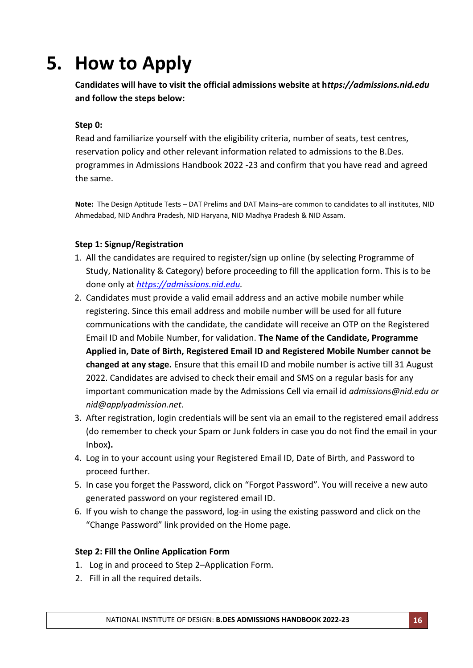# **5. How to Apply**

**Candidates will have to visit the official admissions website at h***ttps://admissions.nid.edu* **and follow the steps below:**

### **Step 0:**

Read and familiarize yourself with the eligibility criteria, number of seats, test centres, reservation policy and other relevant information related to admissions to the B.Des. programmes in Admissions Handbook 2022 -23 and confirm that you have read and agreed the same.

**Note:** The Design Aptitude Tests – DAT Prelims and DAT Mains–are common to candidates to all institutes, NID Ahmedabad, NID Andhra Pradesh, NID Haryana, NID Madhya Pradesh & NID Assam.

### **Step 1: Signup/Registration**

- 1. All the candidates are required to register/sign up online (by selecting Programme of Study, Nationality & Category) before proceeding to fill the application form. This is to be done only at *[https://admissions.nid.edu.](https://admissions.nid.edu/)*
- 2. Candidates must provide a valid email address and an active mobile number while registering. Since this email address and mobile number will be used for all future communications with the candidate, the candidate will receive an OTP on the Registered Email ID and Mobile Number, for validation. **The Name of the Candidate, Programme Applied in, Date of Birth, Registered Email ID and Registered Mobile Number cannot be changed at any stage.** Ensure that this email ID and mobile number is active till 31 August 2022. Candidates are advised to check their email and SMS on a regular basis for any important communication made by the Admissions Cell via email id *[admissions@nid.edu](mailto:admissions@nid.edu) or [nid@applyadmission.net.](mailto:nid@applyadmission.net)*
- 3. After registration, login credentials will be sent via an email to the registered email address (do remember to check your Spam or Junk folders in case you do not find the email in your Inbox**).**
- 4. Log in to your account using your Registered Email ID, Date of Birth, and Password to proceed further.
- 5. In case you forget the Password, click on "Forgot Password". You will receive a new auto generated password on your registered email ID.
- 6. If you wish to change the password, log-in using the existing password and click on the "Change Password" link provided on the Home page.

### **Step 2: Fill the Online Application Form**

- 1. Log in and proceed to Step 2–Application Form.
- 2. Fill in all the required details.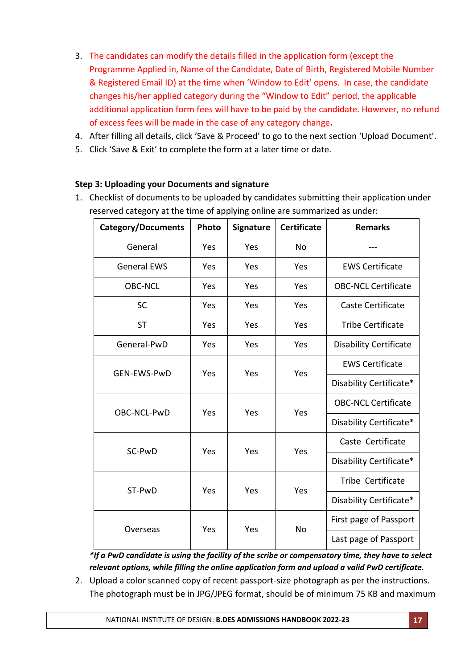- 3. The candidates can modify the details filled in the application form (except the Programme Applied in, Name of the Candidate, Date of Birth, Registered Mobile Number & Registered Email ID) at the time when 'Window to Edit' opens. In case, the candidate changes his/her applied category during the "Window to Edit" period, the applicable additional application form fees will have to be paid by the candidate. However, no refund of excess fees will be made in the case of any category change**.**
- 4. After filling all details, click 'Save & Proceed' to go to the next section 'Upload Document'.
- 5. Click 'Save & Exit' to complete the form at a later time or date.

### **Step 3: Uploading your Documents and signature**

1. Checklist of documents to be uploaded by candidates submitting their application under reserved category at the time of applying online are summarized as under:

| <b>Category/Documents</b> | Photo                            | <b>Signature</b> | <b>Certificate</b>         | <b>Remarks</b>                |
|---------------------------|----------------------------------|------------------|----------------------------|-------------------------------|
| General                   | Yes                              | Yes              | No                         |                               |
| <b>General EWS</b>        | Yes                              | Yes              | Yes                        | <b>EWS Certificate</b>        |
| <b>OBC-NCL</b>            | Yes                              | Yes              | Yes                        | <b>OBC-NCL Certificate</b>    |
| <b>SC</b>                 | Yes                              | Yes              | Yes                        | Caste Certificate             |
| <b>ST</b>                 | Yes                              | Yes              | Yes                        | <b>Tribe Certificate</b>      |
| General-PwD               | Yes                              | Yes              | Yes                        | <b>Disability Certificate</b> |
|                           | Yes<br>Yes<br>Yes<br>GEN-EWS-PwD |                  | <b>EWS Certificate</b>     |                               |
|                           |                                  |                  | Disability Certificate*    |                               |
|                           | Yes<br>Yes<br>Yes                |                  | <b>OBC-NCL Certificate</b> |                               |
| OBC-NCL-PwD               |                                  |                  |                            | Disability Certificate*       |
| SC-PwD                    | Yes                              | Yes              |                            | Caste Certificate             |
|                           |                                  |                  | Yes                        | Disability Certificate*       |
|                           | ST-PwD<br>Yes<br>Yes<br>Yes      |                  | Tribe Certificate          |                               |
|                           |                                  |                  |                            | Disability Certificate*       |
|                           | Yes                              | Yes              | No                         | First page of Passport        |
| Overseas                  |                                  |                  |                            | Last page of Passport         |

*\*If a PwD candidate is using the facility of the scribe or compensatory time, they have to select relevant options, while filling the online application form and upload a valid PwD certificate.*

2. Upload a color scanned copy of recent passport-size photograph as per the instructions. The photograph must be in JPG/JPEG format, should be of minimum 75 KB and maximum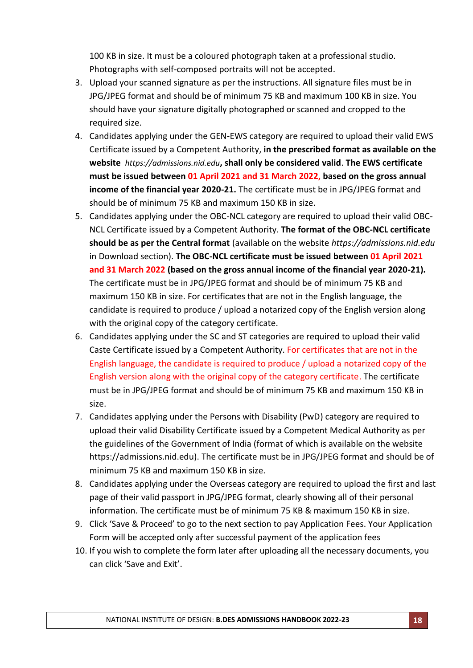100 KB in size. It must be a coloured photograph taken at a professional studio. Photographs with self-composed portraits will not be accepted.

- 3. Upload your scanned signature as per the instructions. All signature files must be in JPG/JPEG format and should be of minimum 75 KB and maximum 100 KB in size. You should have your signature digitally photographed or scanned and cropped to the required size.
- 4. Candidates applying under the GEN-EWS category are required to upload their valid EWS Certificate issued by a Competent Authority, **in the prescribed format as available on the website** *[https://admissions.nid.edu](https://admissions.nid.edu/)***, shall only be considered valid**. **The EWS certificate must be issued between 01 April 2021 and 31 March 2022, based on the gross annual income of the financial year 2020-21.** The certificate must be in JPG/JPEG format and should be of minimum 75 KB and maximum 150 KB in size.
- 5. Candidates applying under the OBC-NCL category are required to upload their valid OBC-NCL Certificate issued by a Competent Authority. **The format of the OBC-NCL certificate should be as per the Central format** (available on the website *[https://admissions.nid.edu](https://admissions.nid.edu/)* in Download section). **The OBC-NCL certificate must be issued between 01 April 2021 and 31 March 2022 (based on the gross annual income of the financial year 2020-21).** The certificate must be in JPG/JPEG format and should be of minimum 75 KB and maximum 150 KB in size. For certificates that are not in the English language, the candidate is required to produce / upload a notarized copy of the English version along with the original copy of the category certificate.
- 6. Candidates applying under the SC and ST categories are required to upload their valid Caste Certificate issued by a Competent Authority. For certificates that are not in the English language, the candidate is required to produce / upload a notarized copy of the English version along with the original copy of the category certificate. The certificate must be in JPG/JPEG format and should be of minimum 75 KB and maximum 150 KB in size.
- 7. Candidates applying under the Persons with Disability (PwD) category are required to upload their valid Disability Certificate issued by a Competent Medical Authority as per the guidelines of the Government of India (format of which is available on the website https://admissions.nid.edu). The certificate must be in JPG/JPEG format and should be of minimum 75 KB and maximum 150 KB in size.
- 8. Candidates applying under the Overseas category are required to upload the first and last page of their valid passport in JPG/JPEG format, clearly showing all of their personal information. The certificate must be of minimum 75 KB & maximum 150 KB in size.
- 9. Click 'Save & Proceed' to go to the next section to pay Application Fees. Your Application Form will be accepted only after successful payment of the application fees
- 10. If you wish to complete the form later after uploading all the necessary documents, you can click 'Save and Exit'.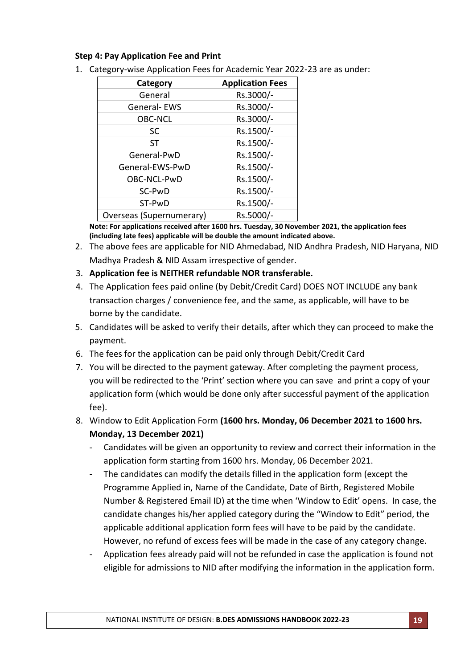### **Step 4: Pay Application Fee and Print**

| Category                 | <b>Application Fees</b> |
|--------------------------|-------------------------|
| General                  | Rs.3000/-               |
| General-EWS              | Rs.3000/-               |
| <b>OBC-NCL</b>           | Rs.3000/-               |
| <b>SC</b>                | Rs.1500/-               |
| <b>ST</b>                | Rs.1500/-               |
| General-PwD              | Rs.1500/-               |
| General-EWS-PwD          | Rs.1500/-               |
| OBC-NCL-PwD              | Rs.1500/-               |
| SC-PwD                   | Rs.1500/-               |
| ST-PwD                   | Rs.1500/-               |
| Overseas (Supernumerary) | Rs.5000/-               |

1. Category-wise Application Fees for Academic Year 2022-23 are as under:

**Note: For applications received after 1600 hrs. Tuesday, 30 November 2021, the application fees (including late fees) applicable will be double the amount indicated above.**

2. The above fees are applicable for NID Ahmedabad, NID Andhra Pradesh, NID Haryana, NID Madhya Pradesh & NID Assam irrespective of gender.

### 3. **Application fee is NEITHER refundable NOR transferable.**

- 4. The Application fees paid online (by Debit/Credit Card) DOES NOT INCLUDE any bank transaction charges / convenience fee, and the same, as applicable, will have to be borne by the candidate.
- 5. Candidates will be asked to verify their details, after which they can proceed to make the payment.
- 6. The fees for the application can be paid only through Debit/Credit Card
- 7. You will be directed to the payment gateway. After completing the payment process, you will be redirected to the 'Print' section where you can save and print a copy of your application form (which would be done only after successful payment of the application fee).
- 8. Window to Edit Application Form **(1600 hrs. Monday, 06 December 2021 to 1600 hrs. Monday, 13 December 2021)**
	- Candidates will be given an opportunity to review and correct their information in the application form starting from 1600 hrs. Monday, 06 December 2021.
	- The candidates can modify the details filled in the application form (except the Programme Applied in, Name of the Candidate, Date of Birth, Registered Mobile Number & Registered Email ID) at the time when 'Window to Edit' opens. In case, the candidate changes his/her applied category during the "Window to Edit" period, the applicable additional application form fees will have to be paid by the candidate. However, no refund of excess fees will be made in the case of any category change.
	- Application fees already paid will not be refunded in case the application is found not eligible for admissions to NID after modifying the information in the application form.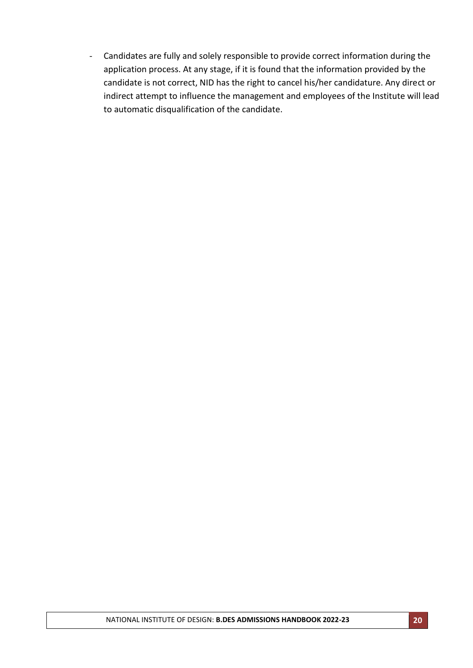- Candidates are fully and solely responsible to provide correct information during the application process. At any stage, if it is found that the information provided by the candidate is not correct, NID has the right to cancel his/her candidature. Any direct or indirect attempt to influence the management and employees of the Institute will lead to automatic disqualification of the candidate.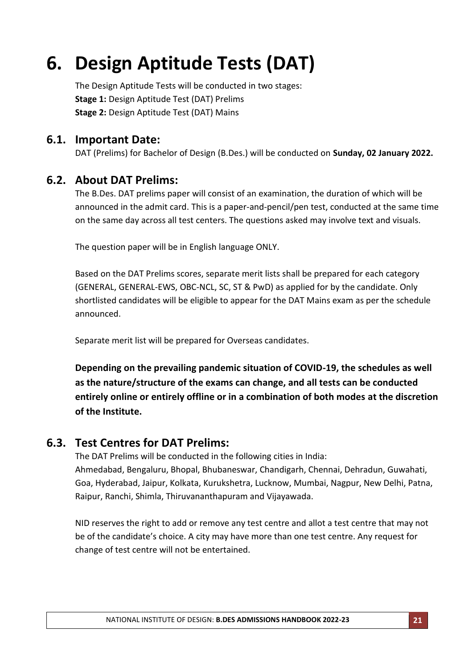# **6. Design Aptitude Tests (DAT)**

The Design Aptitude Tests will be conducted in two stages: **Stage 1:** Design Aptitude Test (DAT) Prelims **Stage 2:** Design Aptitude Test (DAT) Mains

## **6.1. Important Date:**

DAT (Prelims) for Bachelor of Design (B.Des.) will be conducted on **Sunday, 02 January 2022.**

## **6.2. About DAT Prelims:**

The B.Des. DAT prelims paper will consist of an examination, the duration of which will be announced in the admit card. This is a paper-and-pencil/pen test, conducted at the same time on the same day across all test centers. The questions asked may involve text and visuals.

The question paper will be in English language ONLY.

Based on the DAT Prelims scores, separate merit lists shall be prepared for each category (GENERAL, GENERAL-EWS, OBC-NCL, SC, ST & PwD) as applied for by the candidate. Only shortlisted candidates will be eligible to appear for the DAT Mains exam as per the schedule announced.

Separate merit list will be prepared for Overseas candidates.

**Depending on the prevailing pandemic situation of COVID-19, the schedules as well as the nature/structure of the exams can change, and all tests can be conducted entirely online or entirely offline or in a combination of both modes at the discretion of the Institute.**

## **6.3. Test Centres for DAT Prelims:**

The DAT Prelims will be conducted in the following cities in India: Ahmedabad, Bengaluru, Bhopal, Bhubaneswar, Chandigarh, Chennai, Dehradun, Guwahati, Goa, Hyderabad, Jaipur, Kolkata, Kurukshetra, Lucknow, Mumbai, Nagpur, New Delhi, Patna, Raipur, Ranchi, Shimla, Thiruvananthapuram and Vijayawada.

NID reserves the right to add or remove any test centre and allot a test centre that may not be of the candidate's choice. A city may have more than one test centre. Any request for change of test centre will not be entertained.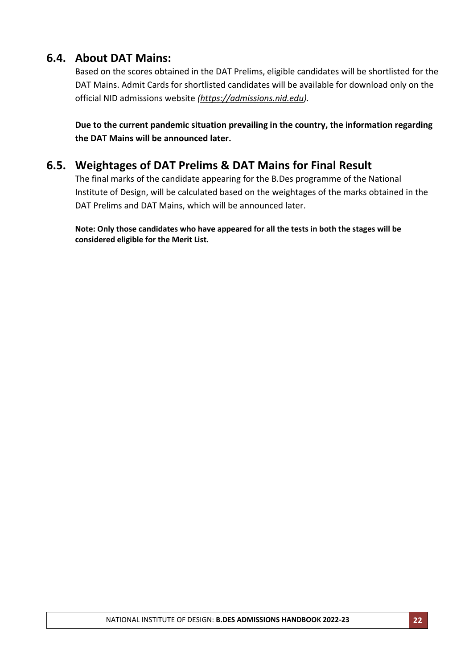## **6.4. About DAT Mains:**

Based on the scores obtained in the DAT Prelims, eligible candidates will be shortlisted for the DAT Mains. Admit Cards for shortlisted candidates will be available for download only on the official NID admissions website *[\(https://admissions.nid.edu\)](http://www.admissions.nid.edu/).*

**Due to the current pandemic situation prevailing in the country, the information regarding the DAT Mains will be announced later.**

## **6.5. Weightages of DAT Prelims & DAT Mains for Final Result**

The final marks of the candidate appearing for the B.Des programme of the National Institute of Design, will be calculated based on the weightages of the marks obtained in the DAT Prelims and DAT Mains, which will be announced later.

**Note: Only those candidates who have appeared for all the tests in both the stages will be considered eligible for the Merit List.**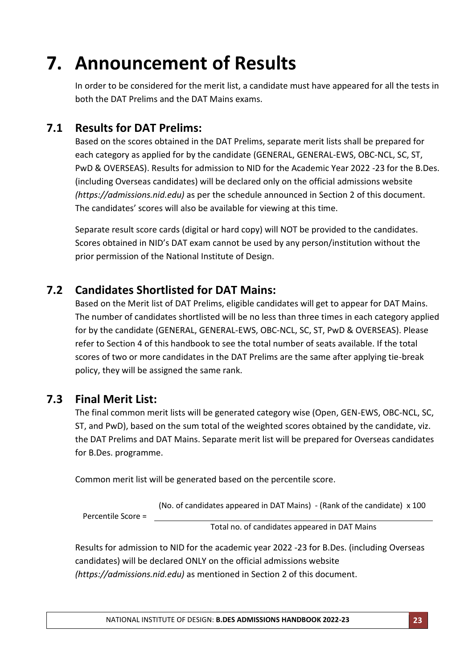# **7. Announcement of Results**

In order to be considered for the merit list, a candidate must have appeared for all the tests in both the DAT Prelims and the DAT Mains exams.

## **7.1 Results for DAT Prelims:**

Based on the scores obtained in the DAT Prelims, separate merit lists shall be prepared for each category as applied for by the candidate (GENERAL, GENERAL-EWS, OBC-NCL, SC, ST, PwD & OVERSEAS). Results for admission to NID for the Academic Year 2022 -23 for the B.Des. (including Overseas candidates) will be declared only on the official admissions website *(https://admissions.nid.edu)* as per the schedule announced in Section 2 of this document. The candidates' scores will also be available for viewing at this time.

Separate result score cards (digital or hard copy) will NOT be provided to the candidates. Scores obtained in NID's DAT exam cannot be used by any person/institution without the prior permission of the National Institute of Design.

## **7.2 Candidates Shortlisted for DAT Mains:**

Based on the Merit list of DAT Prelims, eligible candidates will get to appear for DAT Mains. The number of candidates shortlisted will be no less than three times in each category applied for by the candidate (GENERAL, GENERAL-EWS, OBC-NCL, SC, ST, PwD & OVERSEAS). Please refer to Section 4 of this handbook to see the total number of seats available. If the total scores of two or more candidates in the DAT Prelims are the same after applying tie-break policy, they will be assigned the same rank.

## **7.3 Final Merit List:**

The final common merit lists will be generated category wise (Open, GEN-EWS, OBC-NCL, SC, ST, and PwD), based on the sum total of the weighted scores obtained by the candidate, viz. the DAT Prelims and DAT Mains. Separate merit list will be prepared for Overseas candidates for B.Des. programme.

Common merit list will be generated based on the percentile score.

(No. of candidates appeared in DAT Mains) - (Rank of the candidate) x 100

Percentile Score =

Total no. of candidates appeared in DAT Mains

Results for admission to NID for the academic year 2022 -23 for B.Des. (including Overseas candidates) will be declared ONLY on the official admissions website *(https://admissions.nid.edu)* as mentioned in Section 2 of this document.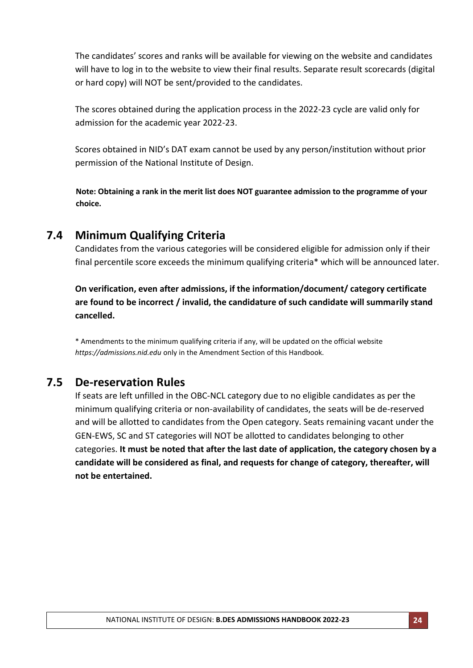The candidates' scores and ranks will be available for viewing on the website and candidates will have to log in to the website to view their final results. Separate result scorecards (digital or hard copy) will NOT be sent/provided to the candidates.

The scores obtained during the application process in the 2022-23 cycle are valid only for admission for the academic year 2022-23.

Scores obtained in NID's DAT exam cannot be used by any person/institution without prior permission of the National Institute of Design.

**Note: Obtaining a rank in the merit list does NOT guarantee admission to the programme of your choice.**

## **7.4 Minimum Qualifying Criteria**

Candidates from the various categories will be considered eligible for admission only if their final percentile score exceeds the minimum qualifying criteria\* which will be announced later.

**On verification, even after admissions, if the information/document/ category certificate are found to be incorrect / invalid, the candidature of such candidate will summarily stand cancelled.**

\* Amendments to the minimum qualifying criteria if any, will be updated on the official website *https://admissions.nid.edu* only in the Amendment Section of this Handbook*.*

## **7.5 De-reservation Rules**

If seats are left unfilled in the OBC-NCL category due to no eligible candidates as per the minimum qualifying criteria or non-availability of candidates, the seats will be de-reserved and will be allotted to candidates from the Open category. Seats remaining vacant under the GEN-EWS, SC and ST categories will NOT be allotted to candidates belonging to other categories. **It must be noted that after the last date of application, the category chosen by a candidate will be considered as final, and requests for change of category, thereafter, will not be entertained.**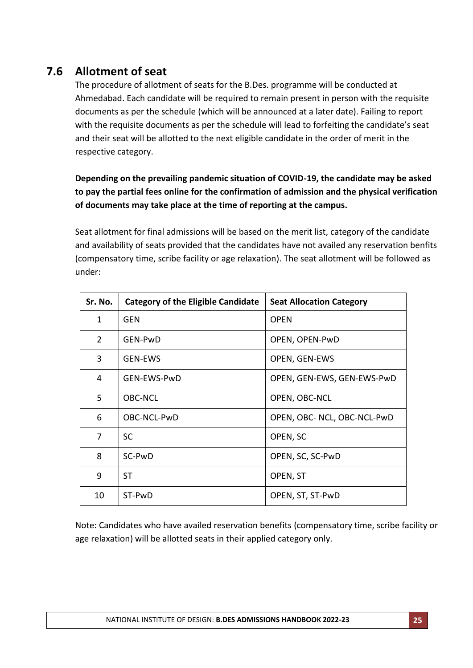# **7.6 Allotment of seat**

The procedure of allotment of seats for the B.Des. programme will be conducted at Ahmedabad. Each candidate will be required to remain present in person with the requisite documents as per the schedule (which will be announced at a later date). Failing to report with the requisite documents as per the schedule will lead to forfeiting the candidate's seat and their seat will be allotted to the next eligible candidate in the order of merit in the respective category.

## **Depending on the prevailing pandemic situation of COVID-19, the candidate may be asked to pay the partial fees online for the confirmation of admission and the physical verification of documents may take place at the time of reporting at the campus.**

Seat allotment for final admissions will be based on the merit list, category of the candidate and availability of seats provided that the candidates have not availed any reservation benfits (compensatory time, scribe facility or age relaxation). The seat allotment will be followed as under:

| Sr. No.        | <b>Category of the Eligible Candidate</b> | <b>Seat Allocation Category</b> |
|----------------|-------------------------------------------|---------------------------------|
| $\mathbf{1}$   | GEN                                       | <b>OPEN</b>                     |
| $\overline{2}$ | GEN-PwD                                   | OPEN, OPEN-PwD                  |
| 3              | <b>GEN-EWS</b>                            | OPEN, GEN-EWS                   |
| 4              | GEN-EWS-PwD                               | OPEN, GEN-EWS, GEN-EWS-PwD      |
| 5              | <b>OBC-NCL</b>                            | OPEN, OBC-NCL                   |
| 6              | OBC-NCL-PwD                               | OPEN, OBC- NCL, OBC-NCL-PwD     |
| 7              | <b>SC</b>                                 | OPEN, SC                        |
| 8              | SC-PwD                                    | OPEN, SC, SC-PwD                |
| 9              | <b>ST</b>                                 | OPEN, ST                        |
| 10             | ST-PwD                                    | OPEN, ST, ST-PwD                |

Note: Candidates who have availed reservation benefits (compensatory time, scribe facility or age relaxation) will be allotted seats in their applied category only.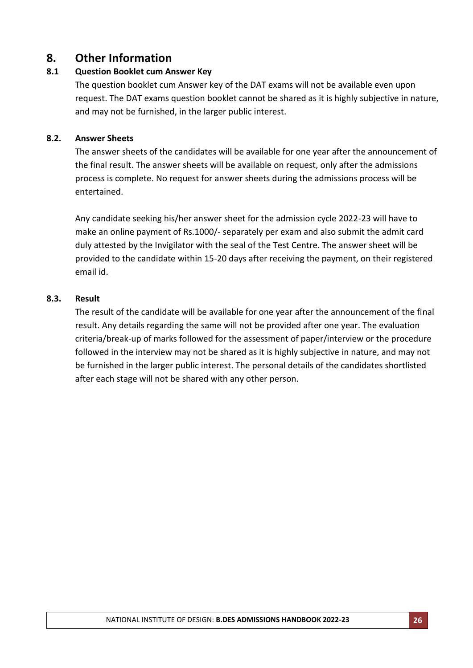## **8. Other Information**

### **8.1 Question Booklet cum Answer Key**

The question booklet cum Answer key of the DAT exams will not be available even upon request. The DAT exams question booklet cannot be shared as it is highly subjective in nature, and may not be furnished, in the larger public interest.

### **8.2. Answer Sheets**

The answer sheets of the candidates will be available for one year after the announcement of the final result. The answer sheets will be available on request, only after the admissions process is complete. No request for answer sheets during the admissions process will be entertained.

Any candidate seeking his/her answer sheet for the admission cycle 2022-23 will have to make an online payment of Rs.1000/- separately per exam and also submit the admit card duly attested by the Invigilator with the seal of the Test Centre. The answer sheet will be provided to the candidate within 15-20 days after receiving the payment, on their registered email id.

### **8.3. Result**

The result of the candidate will be available for one year after the announcement of the final result. Any details regarding the same will not be provided after one year. The evaluation criteria/break-up of marks followed for the assessment of paper/interview or the procedure followed in the interview may not be shared as it is highly subjective in nature, and may not be furnished in the larger public interest. The personal details of the candidates shortlisted after each stage will not be shared with any other person.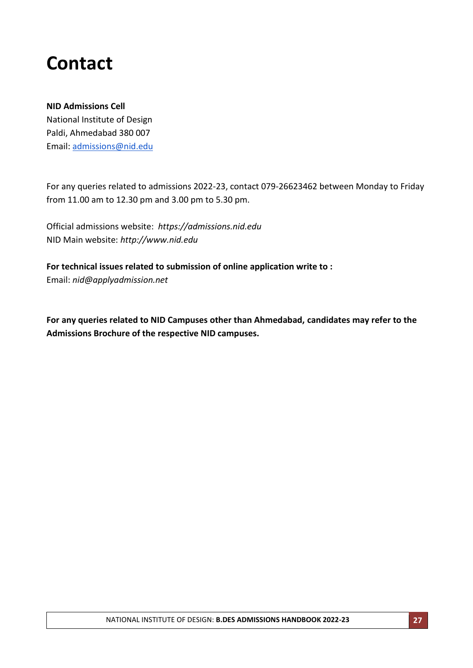# **Contact**

### **NID Admissions Cell**

National Institute of Design Paldi, Ahmedabad 380 007 Email: [admissions@nid.edu](mailto:admissions@nid.edu)

For any queries related to admissions 2022-23, contact 079-26623462 between Monday to Friday from 11.00 am to 12.30 pm and 3.00 pm to 5.30 pm.

Official admissions website: *[https://admissions.nid.edu](http://admissions.nid.edu/)* NID Main website: *http://www.nid.edu*

**For technical issues related to submission of online application write to :** Email: *nid@applyadmission.net*

**For any queries related to NID Campuses other than Ahmedabad, candidates may refer to the Admissions Brochure of the respective NID campuses.**